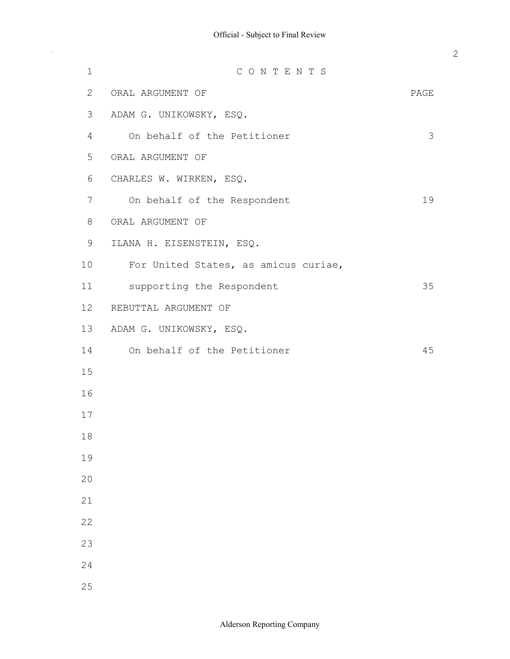$\bar{\beta}$ 

| 1  | CONTENTS                             |      |
|----|--------------------------------------|------|
| 2  | ORAL ARGUMENT OF                     | PAGE |
| 3  | ADAM G. UNIKOWSKY, ESQ.              |      |
| 4  | On behalf of the Petitioner          | 3    |
| 5  | ORAL ARGUMENT OF                     |      |
| 6  | CHARLES W. WIRKEN, ESQ.              |      |
| 7  | On behalf of the Respondent          | 19   |
| 8  | ORAL ARGUMENT OF                     |      |
| 9  | ILANA H. EISENSTEIN, ESQ.            |      |
| 10 | For United States, as amicus curiae, |      |
| 11 | supporting the Respondent            | 35   |
| 12 | REBUTTAL ARGUMENT OF                 |      |
| 13 | ADAM G. UNIKOWSKY, ESQ.              |      |
| 14 | On behalf of the Petitioner          | 45   |
| 15 |                                      |      |
| 16 |                                      |      |
| 17 |                                      |      |
| 18 |                                      |      |
| 19 |                                      |      |
| 20 |                                      |      |
| 21 |                                      |      |
| 22 |                                      |      |
| 23 |                                      |      |
| 24 |                                      |      |
| 25 |                                      |      |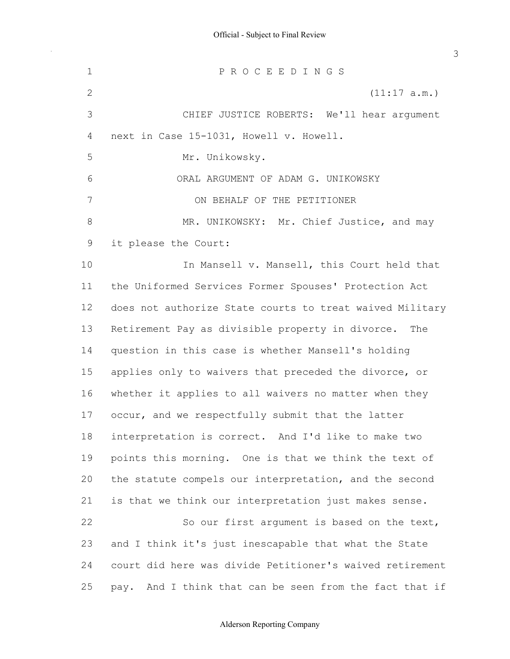next in Case 15-1031, Howell v. Howell. it please the Court: the Uniformed Services Former Spouses' Protection Act does not authorize State courts to treat waived Military Retirement Pay as divisible property in divorce. The question in this case is whether Mansell's holding applies only to waivers that preceded the divorce, or whether it applies to all waivers no matter when they occur, and we respectfully submit that the latter interpretation is correct. And I'd like to make two points this morning. One is that we think the text of the statute compels our interpretation, and the second is that we think our interpretation just makes sense. and I think it's just inescapable that what the State court did here was divide Petitioner's waived retirement pay. And I think that can be seen from the fact that if 1 2 3 4 5 6 7 8 9 10 11 12 13 14 15 16 17 18 19 20 21 22 23 24 25 P R O C E E D I N G S (11:17 a.m.) CHIEF JUSTICE ROBERTS: We'll hear argument Mr. Unikowsky. ORAL ARGUMENT OF ADAM G. UNIKOWSKY ON BEHALF OF THE PETITIONER MR. UNIKOWSKY: Mr. Chief Justice, and may In Mansell v. Mansell, this Court held that So our first argument is based on the text,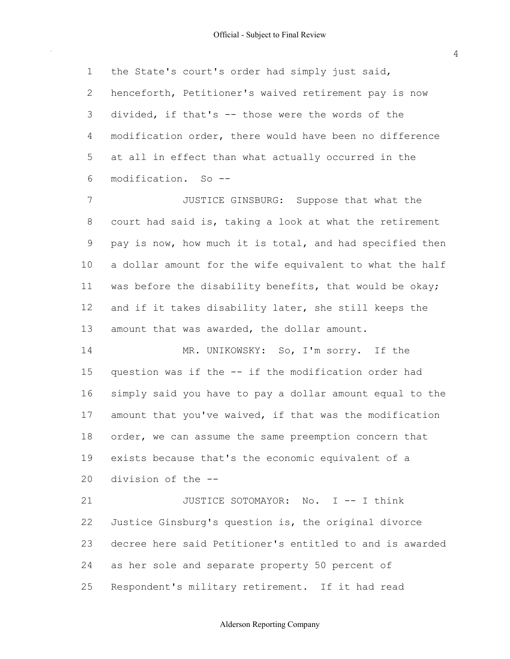the State's court's order had simply just said, henceforth, Petitioner's waived retirement pay is now divided, if that's -- those were the words of the modification order, there would have been no difference at all in effect than what actually occurred in the modification. So -- 1 2 3 4 5 6

 court had said is, taking a look at what the retirement pay is now, how much it is total, and had specified then a dollar amount for the wife equivalent to what the half was before the disability benefits, that would be okay; and if it takes disability later, she still keeps the amount that was awarded, the dollar amount. 7 8 9 10 11 12 13 JUSTICE GINSBURG: Suppose that what the

 question was if the -- if the modification order had simply said you have to pay a dollar amount equal to the amount that you've waived, if that was the modification order, we can assume the same preemption concern that exists because that's the economic equivalent of a division of the -- 14 15 16 17 18 19  $20$ MR. UNIKOWSKY: So, I'm sorry. If the

 Justice Ginsburg's question is, the original divorce decree here said Petitioner's entitled to and is awarded as her sole and separate property 50 percent of Respondent's military retirement. If it had read 21 22 23 24 25 JUSTICE SOTOMAYOR: No. I -- I think

Alderson Reporting Company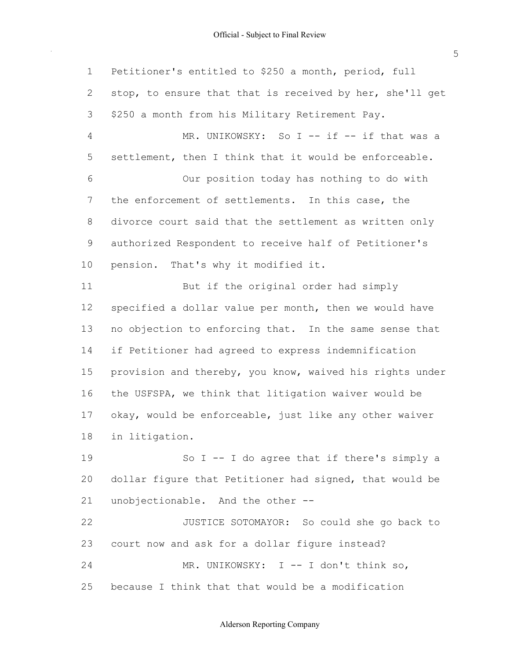Petitioner's entitled to \$250 a month, period, full stop, to ensure that that is received by her, she'll get \$250 a month from his Military Retirement Pay. settlement, then I think that it would be enforceable. the enforcement of settlements. In this case, the divorce court said that the settlement as written only authorized Respondent to receive half of Petitioner's pension. That's why it modified it. specified a dollar value per month, then we would have no objection to enforcing that. In the same sense that if Petitioner had agreed to express indemnification provision and thereby, you know, waived his rights under the USFSPA, we think that litigation waiver would be okay, would be enforceable, just like any other waiver dollar figure that Petitioner had signed, that would be unobjectionable. And the other -- court now and ask for a dollar figure instead? 1 2 3 4 5 6 7 8 9 10 11 12 13 14 15 16 17 18 19 20 21 22 23 24 MR. UNIKOWSKY: So I -- if -- if that was a Our position today has nothing to do with But if the original order had simply in litigation. So  $I$  -- I do agree that if there's simply a JUSTICE SOTOMAYOR: So could she go back to MR. UNIKOWSKY: I -- I don't think so,

 because I think that that would be a modification 25

5

# Alderson Reporting Company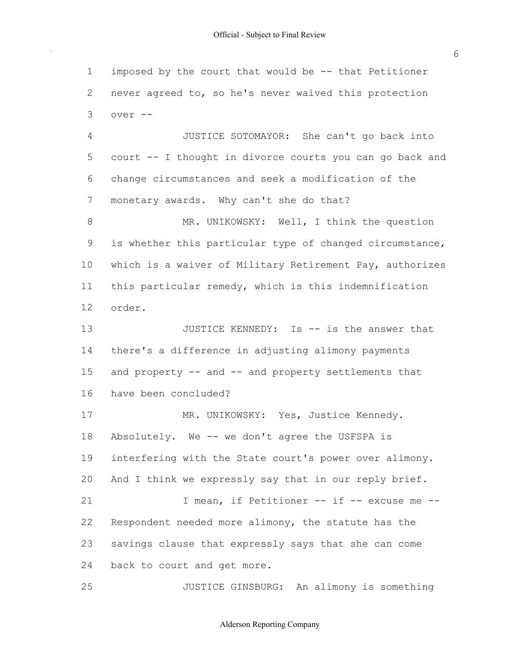imposed by the court that would be -- that Petitioner never agreed to, so he's never waived this protection 1 2 3 over --

 court -- I thought in divorce courts you can go back and change circumstances and seek a modification of the monetary awards. Why can't she do that? 4 5 6 7 JUSTICE SOTOMAYOR: She can't go back into

 is whether this particular type of changed circumstance, which is a waiver of Military Retirement Pay, authorizes this particular remedy, which is this indemnification 8 9 10 11 12 MR. UNIKOWSKY: Well, I think the question order.

 there's a difference in adjusting alimony payments and property -- and -- and property settlements that have been concluded? 13 14 15 16 JUSTICE KENNEDY: Is -- is the answer that

 Absolutely. We -- we don't agree the USFSPA is interfering with the State court's power over alimony. And I think we expressly say that in our reply brief. Respondent needed more alimony, the statute has the savings clause that expressly says that she can come back to court and get more. 17 18 19 20 21 22 23 24 MR. UNIKOWSKY: Yes, Justice Kennedy. I mean, if Petitioner -- if -- excuse me --

25 JUSTICE GINSBURG: An alimony is something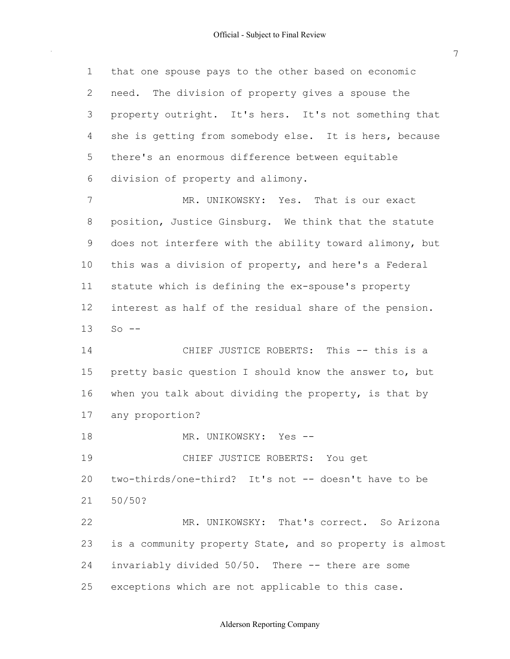$\sim$ 

| $\mathbf 1$    | that one spouse pays to the other based on economic      |
|----------------|----------------------------------------------------------|
| $\overline{2}$ | need. The division of property gives a spouse the        |
| 3              | property outright. It's hers. It's not something that    |
| 4              | she is getting from somebody else. It is hers, because   |
| 5              | there's an enormous difference between equitable         |
| 6              | division of property and alimony.                        |
| 7              | MR. UNIKOWSKY: Yes. That is our exact                    |
| 8              | position, Justice Ginsburg. We think that the statute    |
| 9              | does not interfere with the ability toward alimony, but  |
| 10             | this was a division of property, and here's a Federal    |
| 11             | statute which is defining the ex-spouse's property       |
| 12             | interest as half of the residual share of the pension.   |
| 13             | $So$ $--$                                                |
| 14             | CHIEF JUSTICE ROBERTS: This -- this is a                 |
| 15             | pretty basic question I should know the answer to, but   |
| 16             | when you talk about dividing the property, is that by    |
| 17             | any proportion?                                          |
| 18             | MR. UNIKOWSKY:<br>Yes --                                 |
| 19             | CHIEF JUSTICE ROBERTS: You get                           |
| 20             | two-thirds/one-third? It's not -- doesn't have to be     |
| 21             | 50/50?                                                   |
| 22             | MR. UNIKOWSKY: That's correct. So Arizona                |
| 23             | is a community property State, and so property is almost |
| 24             | invariably divided 50/50. There -- there are some        |
| 25             | exceptions which are not applicable to this case.        |

# Alderson Reporting Company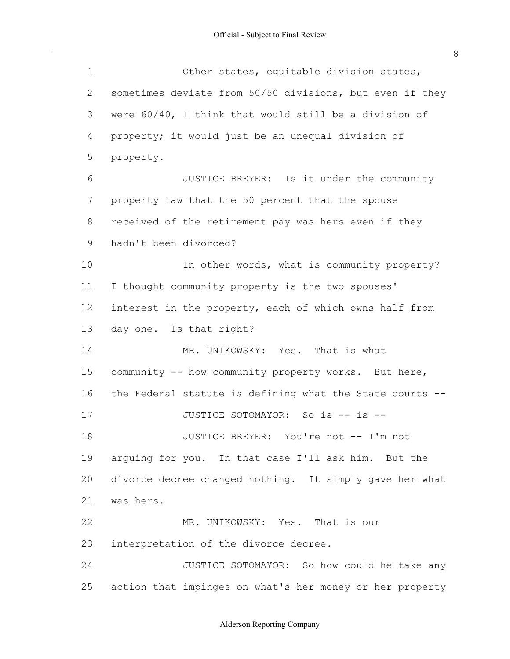$\sim$ 

| $\mathbf 1$    | Other states, equitable division states,                 |
|----------------|----------------------------------------------------------|
| $\overline{2}$ | sometimes deviate from 50/50 divisions, but even if they |
| 3              | were 60/40, I think that would still be a division of    |
| 4              | property; it would just be an unequal division of        |
| 5              | property.                                                |
| 6              | JUSTICE BREYER: Is it under the community                |
| 7              | property law that the 50 percent that the spouse         |
| 8              | received of the retirement pay was hers even if they     |
| 9              | hadn't been divorced?                                    |
| 10             | In other words, what is community property?              |
| 11             | I thought community property is the two spouses'         |
| 12             | interest in the property, each of which owns half from   |
| 13             | day one. Is that right?                                  |
| 14             | MR. UNIKOWSKY: Yes. That is what                         |
| 15             | community -- how community property works. But here,     |
| 16             | the Federal statute is defining what the State courts -- |
| 17             | JUSTICE SOTOMAYOR: So is -- is --                        |
| 18             | JUSTICE BREYER: You're not -- I'm not                    |
| 19             | arquing for you. In that case I'll ask him. But the      |
| 20             | divorce decree changed nothing. It simply gave her what  |
| 21             | was hers.                                                |
| 22             | MR. UNIKOWSKY: Yes. That is our                          |
| 23             | interpretation of the divorce decree.                    |
| 24             | JUSTICE SOTOMAYOR: So how could he take any              |
| 25             | action that impinges on what's her money or her property |

Alderson Reporting Company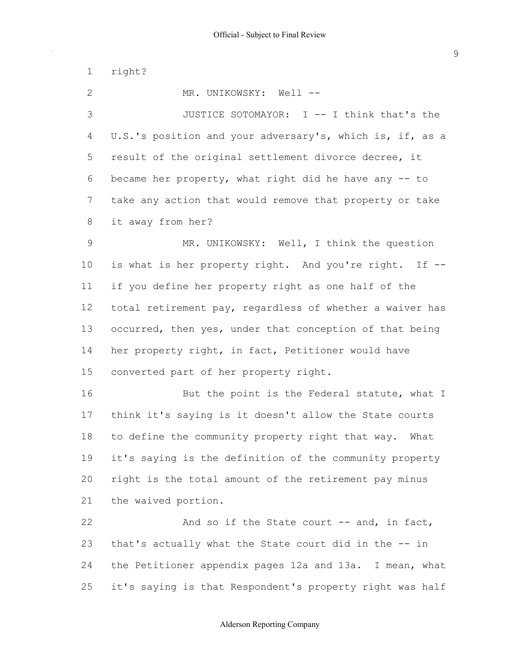1 right?

2 MR. UNIKOWSKY: Well --

 U.S.'s position and your adversary's, which is, if, as a result of the original settlement divorce decree, it became her property, what right did he have any -- to take any action that would remove that property or take it away from her? 3 4 5 6 7 8 JUSTICE SOTOMAYOR: I -- I think that's the

 is what is her property right. And you're right. If -- if you define her property right as one half of the total retirement pay, regardless of whether a waiver has occurred, then yes, under that conception of that being her property right, in fact, Petitioner would have converted part of her property right. 9 10 11 12 13 14 15 MR. UNIKOWSKY: Well, I think the question

 think it's saying is it doesn't allow the State courts to define the community property right that way. What it's saying is the definition of the community property right is the total amount of the retirement pay minus the waived portion. 16 17 18 19 20 21 But the point is the Federal statute, what I

 that's actually what the State court did in the -- in the Petitioner appendix pages 12a and 13a. I mean, what it's saying is that Respondent's property right was half 22 23 24 25 And so if the State court -- and, in fact,

#### Alderson Reporting Company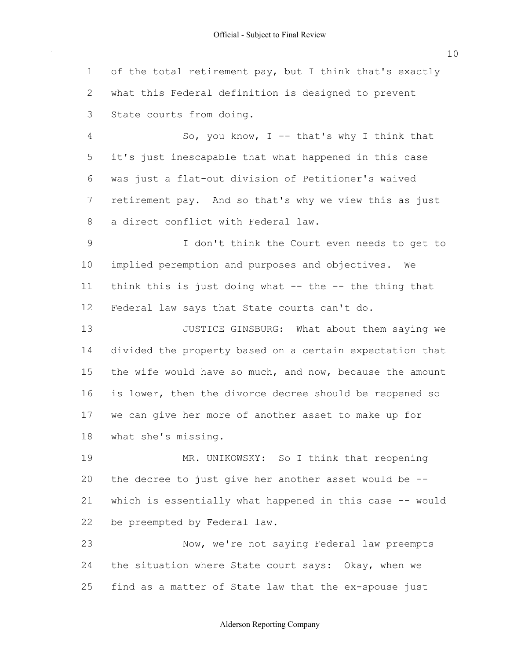of the total retirement pay, but I think that's exactly what this Federal definition is designed to prevent State courts from doing. 1 2 3

 it's just inescapable that what happened in this case was just a flat-out division of Petitioner's waived retirement pay. And so that's why we view this as just a direct conflict with Federal law. 4 5 6 7 8 So, you know,  $I$  -- that's why I think that

 implied peremption and purposes and objectives. We think this is just doing what -- the -- the thing that Federal law says that State courts can't do. 9 10 11 12 I don't think the Court even needs to get to

 divided the property based on a certain expectation that the wife would have so much, and now, because the amount is lower, then the divorce decree should be reopened so we can give her more of another asset to make up for what she's missing. 13 14 15 16 17 18 JUSTICE GINSBURG: What about them saying we

 the decree to just give her another asset would be -- which is essentially what happened in this case -- would be preempted by Federal law. 19 20 21 22 MR. UNIKOWSKY: So I think that reopening

 the situation where State court says: Okay, when we find as a matter of State law that the ex-spouse just 23 24 25 Now, we're not saying Federal law preempts

# Alderson Reporting Company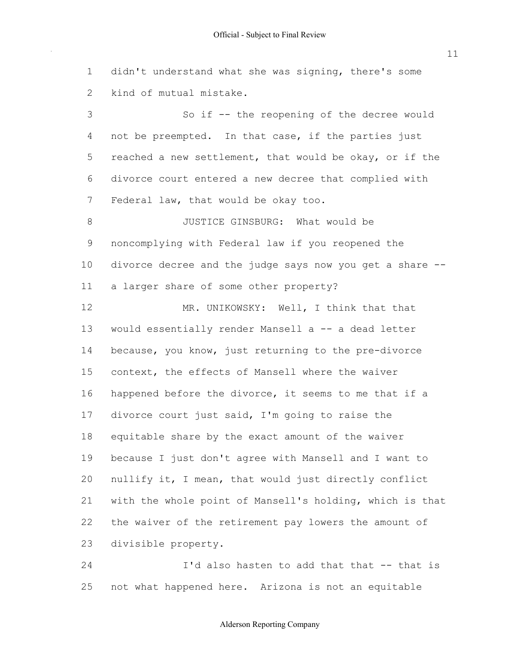didn't understand what she was signing, there's some

1

11

 kind of mutual mistake. not be preempted. In that case, if the parties just reached a new settlement, that would be okay, or if the divorce court entered a new decree that complied with Federal law, that would be okay too. noncomplying with Federal law if you reopened the divorce decree and the judge says now you get a share -- a larger share of some other property? would essentially render Mansell a -- a dead letter because, you know, just returning to the pre-divorce context, the effects of Mansell where the waiver happened before the divorce, it seems to me that if a divorce court just said, I'm going to raise the equitable share by the exact amount of the waiver because I just don't agree with Mansell and I want to nullify it, I mean, that would just directly conflict with the whole point of Mansell's holding, which is that the waiver of the retirement pay lowers the amount of 2 3 4 5 6 7 8 9 10 11 12 13 14 15 16 17 18 19 20 21 22 23 24 So if -- the reopening of the decree would JUSTICE GINSBURG: What would be MR. UNIKOWSKY: Well, I think that that divisible property. I'd also hasten to add that that -- that is

 not what happened here. Arizona is not an equitable 25

# Alderson Reporting Company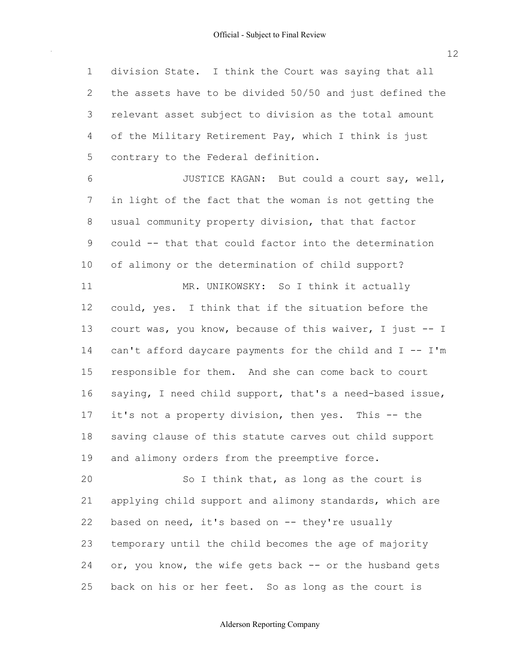division State. I think the Court was saying that all the assets have to be divided 50/50 and just defined the relevant asset subject to division as the total amount of the Military Retirement Pay, which I think is just contrary to the Federal definition. 1 2 3 4 5

 in light of the fact that the woman is not getting the usual community property division, that that factor could -- that that could factor into the determination of alimony or the determination of child support? could, yes. I think that if the situation before the court was, you know, because of this waiver, I just -- I can't afford daycare payments for the child and I -- I'm responsible for them. And she can come back to court saying, I need child support, that's a need-based issue, it's not a property division, then yes. This -- the saving clause of this statute carves out child support 6 7 8 9 10 11 12 13 14 15 16 17 18 JUSTICE KAGAN: But could a court say, well, MR. UNIKOWSKY: So I think it actually

 and alimony orders from the preemptive force. 19

 applying child support and alimony standards, which are based on need, it's based on -- they're usually temporary until the child becomes the age of majority or, you know, the wife gets back -- or the husband gets back on his or her feet. So as long as the court is 20 21 22 23 24 25 So I think that, as long as the court is

#### Alderson Reporting Company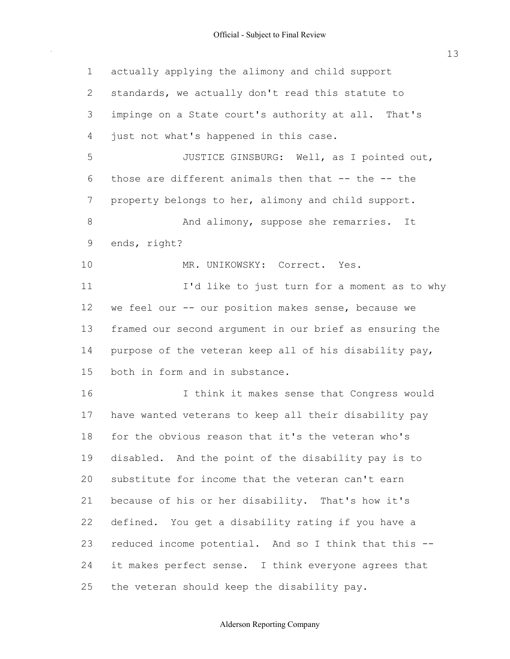$\bar{\beta}$ 

| $\mathbf 1$    | actually applying the alimony and child support         |
|----------------|---------------------------------------------------------|
| $\overline{2}$ | standards, we actually don't read this statute to       |
| 3              | impinge on a State court's authority at all. That's     |
| 4              | just not what's happened in this case.                  |
| 5              | JUSTICE GINSBURG: Well, as I pointed out,               |
| 6              | those are different animals then that -- the -- the     |
| 7              | property belongs to her, alimony and child support.     |
| 8              | And alimony, suppose she remarries. It                  |
| 9              | ends, right?                                            |
| 10             | MR. UNIKOWSKY: Correct. Yes.                            |
| 11             | I'd like to just turn for a moment as to why            |
| 12             | we feel our -- our position makes sense, because we     |
| 13             | framed our second argument in our brief as ensuring the |
| 14             | purpose of the veteran keep all of his disability pay,  |
| 15             | both in form and in substance.                          |
| 16             | I think it makes sense that Congress would              |
| 17             | have wanted veterans to keep all their disability pay   |
| 18             | for the obvious reason that it's the veteran who's      |
| 19             | disabled. And the point of the disability pay is to     |
| 20             | substitute for income that the veteran can't earn       |
| 21             | because of his or her disability. That's how it's       |
| 22             | defined. You get a disability rating if you have a      |
| 23             | reduced income potential. And so I think that this --   |
| 24             | it makes perfect sense. I think everyone agrees that    |
| 25             | the veteran should keep the disability pay.             |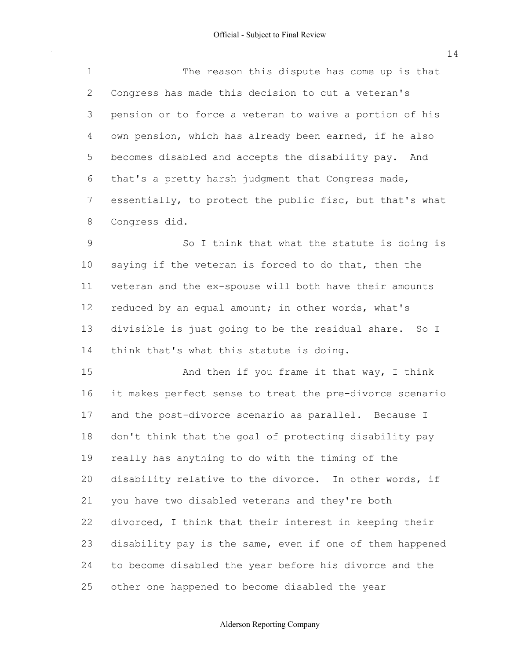Congress has made this decision to cut a veteran's pension or to force a veteran to waive a portion of his own pension, which has already been earned, if he also becomes disabled and accepts the disability pay. And that's a pretty harsh judgment that Congress made, essentially, to protect the public fisc, but that's what 1 2 3 4 5 6 7 8 The reason this dispute has come up is that Congress did.

 saying if the veteran is forced to do that, then the veteran and the ex-spouse will both have their amounts reduced by an equal amount; in other words, what's divisible is just going to be the residual share. So I think that's what this statute is doing. 9 10 11 12 13 14 So I think that what the statute is doing is

 it makes perfect sense to treat the pre-divorce scenario and the post-divorce scenario as parallel. Because I don't think that the goal of protecting disability pay really has anything to do with the timing of the disability relative to the divorce. In other words, if you have two disabled veterans and they're both divorced, I think that their interest in keeping their disability pay is the same, even if one of them happened to become disabled the year before his divorce and the other one happened to become disabled the year 15 16 17 18 19 20 21 22 23 24 25 And then if you frame it that way, I think

#### Alderson Reporting Company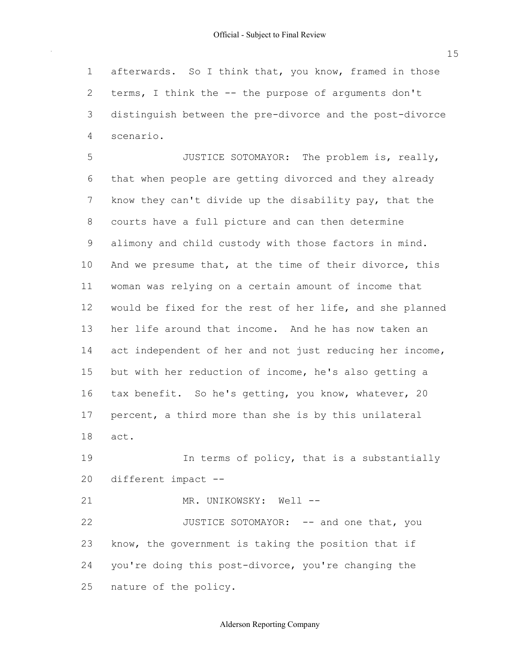afterwards. So I think that, you know, framed in those terms, I think the -- the purpose of arguments don't distinguish between the pre-divorce and the post-divorce 1 2 3 4 scenario.

 that when people are getting divorced and they already know they can't divide up the disability pay, that the courts have a full picture and can then determine alimony and child custody with those factors in mind. And we presume that, at the time of their divorce, this woman was relying on a certain amount of income that would be fixed for the rest of her life, and she planned her life around that income. And he has now taken an act independent of her and not just reducing her income, but with her reduction of income, he's also getting a tax benefit. So he's getting, you know, whatever, 20 percent, a third more than she is by this unilateral 5 6 7 8 9 10 11 12 13 14 15 16 17 18 JUSTICE SOTOMAYOR: The problem is, really, act.

 different impact -- 19 20 In terms of policy, that is a substantially

21 MR. UNIKOWSKY: Well --

 know, the government is taking the position that if you're doing this post-divorce, you're changing the nature of the policy. 22 23 24 25 JUSTICE SOTOMAYOR: -- and one that, you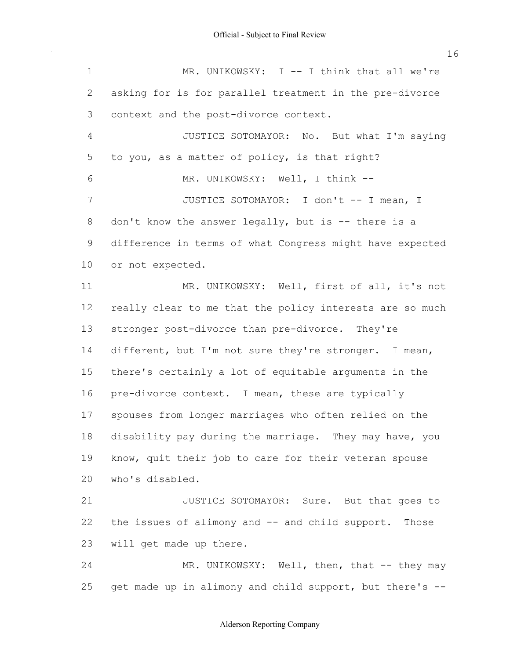asking for is for parallel treatment in the pre-divorce context and the post-divorce context. to you, as a matter of policy, is that right? don't know the answer legally, but is -- there is a difference in terms of what Congress might have expected or not expected. really clear to me that the policy interests are so much stronger post-divorce than pre-divorce. They're different, but I'm not sure they're stronger. I mean, there's certainly a lot of equitable arguments in the pre-divorce context. I mean, these are typically spouses from longer marriages who often relied on the disability pay during the marriage. They may have, you know, quit their job to care for their veteran spouse the issues of alimony and -- and child support. Those will get made up there. 1 2 3 4 5 6 7 8 9 10 11 12 13 14 15 16 17 18 19 20 21 22 23 MR. UNIKOWSKY: I -- I think that all we're JUSTICE SOTOMAYOR: No. But what I'm saying MR. UNIKOWSKY: Well, I think --JUSTICE SOTOMAYOR: I don't -- I mean, I MR. UNIKOWSKY: Well, first of all, it's not who's disabled. JUSTICE SOTOMAYOR: Sure. But that goes to

 get made up in alimony and child support, but there's -- 24 25 MR. UNIKOWSKY: Well, then, that -- they may

# Alderson Reporting Company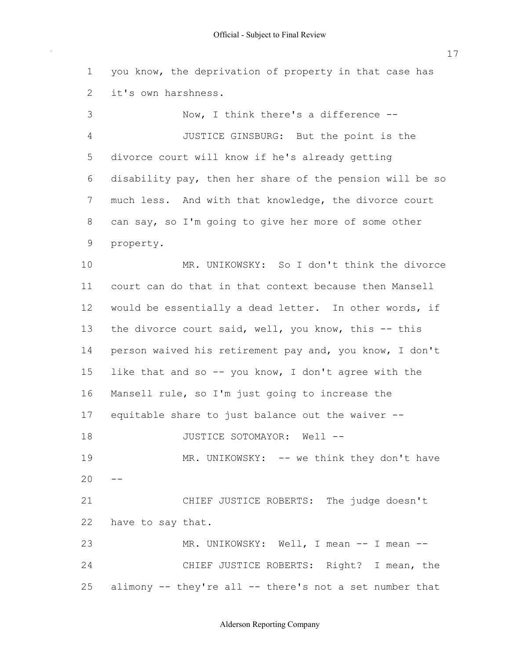you know, the deprivation of property in that case has it's own harshness. divorce court will know if he's already getting disability pay, then her share of the pension will be so much less. And with that knowledge, the divorce court can say, so I'm going to give her more of some other court can do that in that context because then Mansell would be essentially a dead letter. In other words, if the divorce court said, well, you know, this -- this person waived his retirement pay and, you know, I don't like that and so -- you know, I don't agree with the Mansell rule, so I'm just going to increase the equitable share to just balance out the waiver --  $20 -$  have to say that. alimony -- they're all -- there's not a set number that Now, I think there's a difference -- JUSTICE GINSBURG: But the point is the property. MR. UNIKOWSKY: So I don't think the divorce JUSTICE SOTOMAYOR: Well -- MR. UNIKOWSKY: -- we think they don't have CHIEF JUSTICE ROBERTS: The judge doesn't MR. UNIKOWSKY: Well, I mean -- I mean --CHIEF JUSTICE ROBERTS: Right? I mean, the

Alderson Reporting Company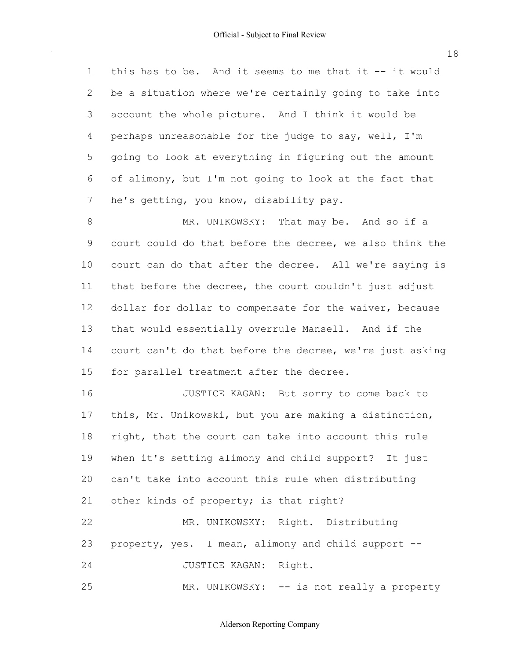this has to be. And it seems to me that it -- it would be a situation where we're certainly going to take into account the whole picture. And I think it would be perhaps unreasonable for the judge to say, well, I'm going to look at everything in figuring out the amount of alimony, but I'm not going to look at the fact that he's getting, you know, disability pay. 1 2 3 4 5 6 7

 court could do that before the decree, we also think the court can do that after the decree. All we're saying is that before the decree, the court couldn't just adjust dollar for dollar to compensate for the waiver, because that would essentially overrule Mansell. And if the court can't do that before the decree, we're just asking for parallel treatment after the decree. 8 9 10 11 12 13 14 15 MR. UNIKOWSKY: That may be. And so if a

 this, Mr. Unikowski, but you are making a distinction, right, that the court can take into account this rule when it's setting alimony and child support? It just can't take into account this rule when distributing other kinds of property; is that right? 16 17 18 19  $20$ 21 22 JUSTICE KAGAN: But sorry to come back to MR. UNIKOWSKY: Right. Distributing

 property, yes. I mean, alimony and child support -- 23

24 JUSTICE KAGAN: Right.

25 MR. UNIKOWSKY: -- is not really a property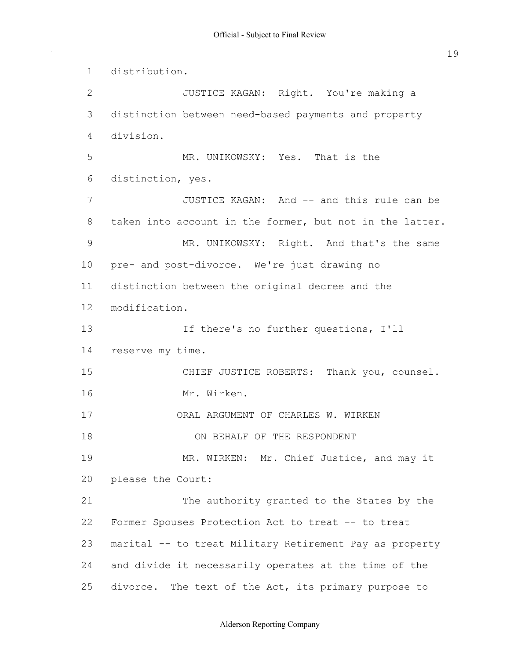distinction between need-based payments and property taken into account in the former, but not in the latter. pre- and post-divorce. We're just drawing no distinction between the original decree and the reserve my time. please the Court: Former Spouses Protection Act to treat -- to treat marital -- to treat Military Retirement Pay as property and divide it necessarily operates at the time of the divorce. The text of the Act, its primary purpose to 1 2 3 4 5 6 7 8 9 10 11 12 13 14 15 16 17 18 19 20 21 22 23 24 25 distribution. JUSTICE KAGAN: Right. You're making a division. MR. UNIKOWSKY: Yes. That is the distinction, yes. JUSTICE KAGAN: And -- and this rule can be MR. UNIKOWSKY: Right. And that's the same modification. If there's no further questions, I'll CHIEF JUSTICE ROBERTS: Thank you, counsel. Mr. Wirken. ORAL ARGUMENT OF CHARLES W. WIRKEN ON BEHALF OF THE RESPONDENT MR. WIRKEN: Mr. Chief Justice, and may it The authority granted to the States by the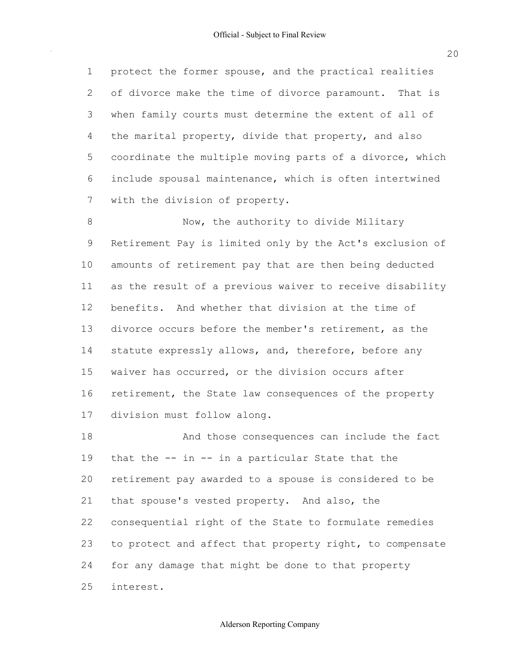protect the former spouse, and the practical realities of divorce make the time of divorce paramount. That is when family courts must determine the extent of all of the marital property, divide that property, and also coordinate the multiple moving parts of a divorce, which include spousal maintenance, which is often intertwined with the division of property. 1 2 3 4 5 6 7

 Retirement Pay is limited only by the Act's exclusion of amounts of retirement pay that are then being deducted as the result of a previous waiver to receive disability benefits. And whether that division at the time of divorce occurs before the member's retirement, as the statute expressly allows, and, therefore, before any waiver has occurred, or the division occurs after retirement, the State law consequences of the property division must follow along. 8 9 10 11 12 13 14 15 16 17 Now, the authority to divide Military

 that the -- in -- in a particular State that the retirement pay awarded to a spouse is considered to be that spouse's vested property. And also, the consequential right of the State to formulate remedies to protect and affect that property right, to compensate for any damage that might be done to that property 18 19 20 21 22 23 24 25 And those consequences can include the fact interest.

20

# Alderson Reporting Company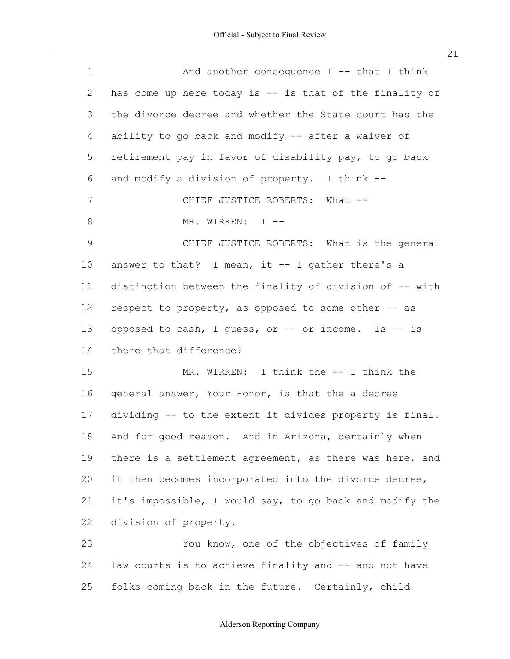| $\mathbf 1$   | And another consequence $I$ -- that I think             |
|---------------|---------------------------------------------------------|
| 2             | has come up here today is -- is that of the finality of |
| 3             | the divorce decree and whether the State court has the  |
| 4             | ability to go back and modify -- after a waiver of      |
| 5             | retirement pay in favor of disability pay, to go back   |
| 6             | and modify a division of property. I think --           |
| 7             | CHIEF JUSTICE ROBERTS: What --                          |
| 8             | MR. WIRKEN: I --                                        |
| $\mathcal{G}$ | CHIEF JUSTICE ROBERTS: What is the general              |
| 10            | answer to that? I mean, it $-$ I gather there's a       |
| 11            | distinction between the finality of division of -- with |
| 12            | respect to property, as opposed to some other -- as     |
| 13            | opposed to cash, I guess, or -- or income. Is -- is     |
| 14            | there that difference?                                  |
| 15            | MR. WIRKEN: I think the -- I think the                  |
| 16            | general answer, Your Honor, is that the a decree        |
| 17            | dividing -- to the extent it divides property is final. |
|               | 18 And for good reason. And in Arizona, certainly when  |
| 19            | there is a settlement agreement, as there was here, and |
| 20            | it then becomes incorporated into the divorce decree,   |
| 21            | it's impossible, I would say, to go back and modify the |
| 22            | division of property.                                   |
| 23            | You know, one of the objectives of family               |
| 24            | law courts is to achieve finality and -- and not have   |

folks coming back in the future. Certainly, child

25

 $\bar{\beta}$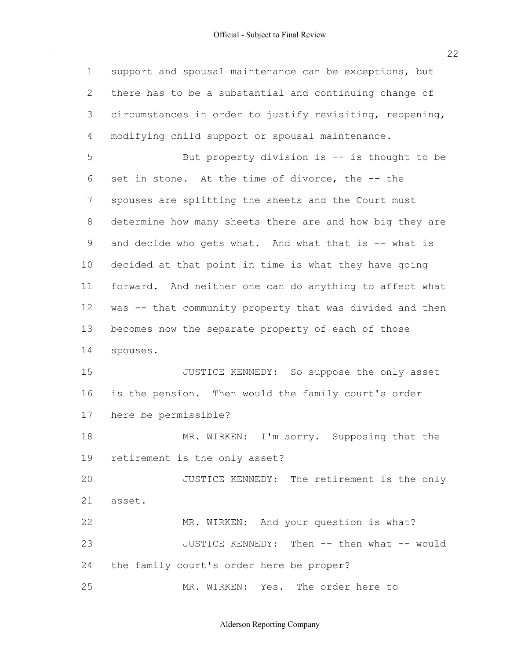support and spousal maintenance can be exceptions, but there has to be a substantial and continuing change of circumstances in order to justify revisiting, reopening, modifying child support or spousal maintenance. set in stone. At the time of divorce, the -- the spouses are splitting the sheets and the Court must determine how many sheets there are and how big they are and decide who gets what. And what that is -- what is decided at that point in time is what they have going forward. And neither one can do anything to affect what was -- that community property that was divided and then becomes now the separate property of each of those is the pension. Then would the family court's order here be permissible? retirement is the only asset? the family court's order here be proper? 1 2 3 4 5 6 7 8 9 10 11 12 13 14 15 16 17 18 19 20 21 22 23 24 25 But property division is  $-$  is thought to be spouses. JUSTICE KENNEDY: So suppose the only asset MR. WIRKEN: I'm sorry. Supposing that the JUSTICE KENNEDY: The retirement is the only asset. MR. WIRKEN: And your question is what? JUSTICE KENNEDY: Then -- then what -- would MR. WIRKEN: Yes. The order here to

Alderson Reporting Company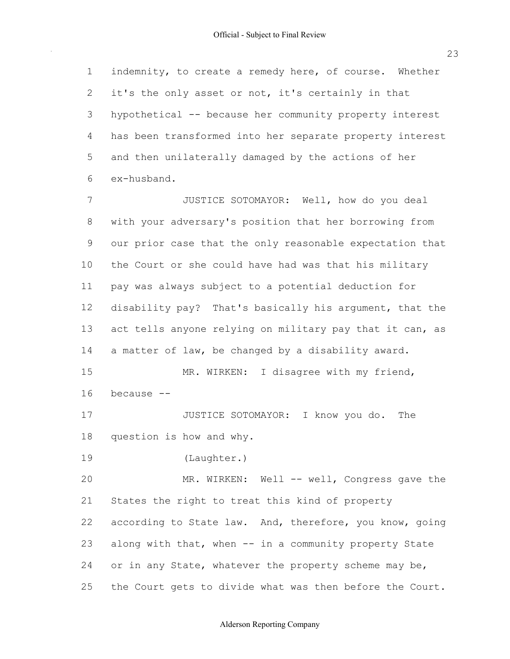indemnity, to create a remedy here, of course. Whether it's the only asset or not, it's certainly in that hypothetical -- because her community property interest has been transformed into her separate property interest and then unilaterally damaged by the actions of her 1 2 3 4 5  $6 \overline{6}$ ex-husband.

 with your adversary's position that her borrowing from our prior case that the only reasonable expectation that the Court or she could have had was that his military pay was always subject to a potential deduction for disability pay? That's basically his argument, that the act tells anyone relying on military pay that it can, as a matter of law, be changed by a disability award. 7 8 9 10 11 12 13 14 15 JUSTICE SOTOMAYOR: Well, how do you deal MR. WIRKEN: I disagree with my friend,

16 because --

 question is how and why. 17 18 JUSTICE SOTOMAYOR: I know you do. The

19 (Laughter.)

 States the right to treat this kind of property according to State law. And, therefore, you know, going along with that, when -- in a community property State or in any State, whatever the property scheme may be, the Court gets to divide what was then before the Court. 20 21 22 23 24 25 MR. WIRKEN: Well -- well, Congress gave the

Alderson Reporting Company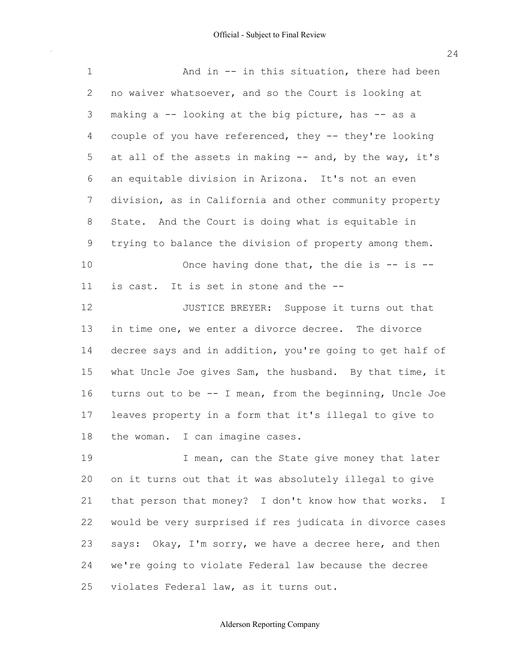$\sim$ 

| $\mathbf{1}$   | And in $-$ in this situation, there had been                         |
|----------------|----------------------------------------------------------------------|
| $\overline{2}$ | no waiver whatsoever, and so the Court is looking at                 |
| 3              | making a -- looking at the big picture, has -- as a                  |
| 4              | couple of you have referenced, they -- they're looking               |
| 5              | at all of the assets in making -- and, by the way, it's              |
| 6              | an equitable division in Arizona. It's not an even                   |
| 7              | division, as in California and other community property              |
| 8              | State. And the Court is doing what is equitable in                   |
| 9              | trying to balance the division of property among them.               |
| 10             | Once having done that, the die is $-$ is $-$                         |
| 11             | is cast. It is set in stone and the --                               |
| 12             | JUSTICE BREYER: Suppose it turns out that                            |
| 13             | in time one, we enter a divorce decree. The divorce                  |
| 14             | decree says and in addition, you're going to get half of             |
| 15             | what Uncle Joe gives Sam, the husband. By that time, it              |
| 16             | turns out to be -- I mean, from the beginning, Uncle Joe             |
| 17             | leaves property in a form that it's illegal to give to               |
| 18             | the woman. I can imagine cases.                                      |
| 19             | I mean, can the State give money that later                          |
| 20             | on it turns out that it was absolutely illegal to give               |
| 21             | that person that money? I don't know how that works.<br>$\mathbb{I}$ |
| 22             | would be very surprised if res judicata in divorce cases             |
| 23             | says: Okay, I'm sorry, we have a decree here, and then               |
| 24             | we're going to violate Federal law because the decree                |

 violates Federal law, as it turns out. 25

Alderson Reporting Company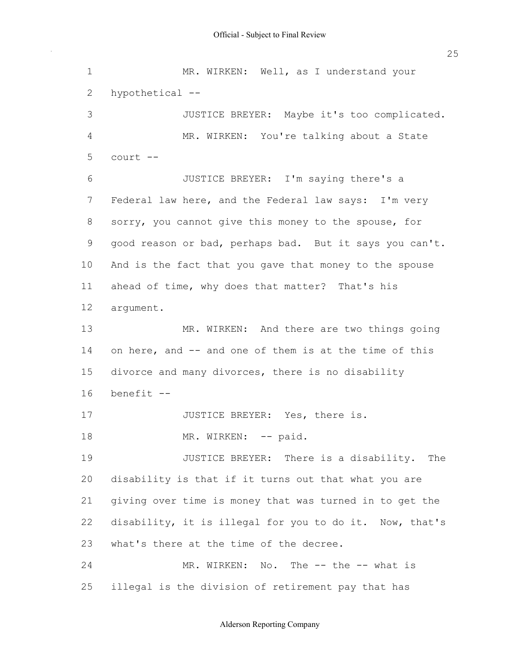Federal law here, and the Federal law says: I'm very sorry, you cannot give this money to the spouse, for good reason or bad, perhaps bad. But it says you can't. And is the fact that you gave that money to the spouse ahead of time, why does that matter? That's his on here, and -- and one of them is at the time of this divorce and many divorces, there is no disability disability is that if it turns out that what you are giving over time is money that was turned in to get the disability, it is illegal for you to do it. Now, that's what's there at the time of the decree. illegal is the division of retirement pay that has 1 2 3 4 5 6 7 8 9 10 11 12 13 14 15 16 17 18 19 20 21 22 23 24 25 MR. WIRKEN: Well, as I understand your hypothetical -- JUSTICE BREYER: Maybe it's too complicated. MR. WIRKEN: You're talking about a State court -- JUSTICE BREYER: I'm saying there's a argument. MR. WIRKEN: And there are two things going benefit -- JUSTICE BREYER: Yes, there is. MR. WIRKEN: -- paid. JUSTICE BREYER: There is a disability. The MR. WIRKEN: No. The -- the -- what is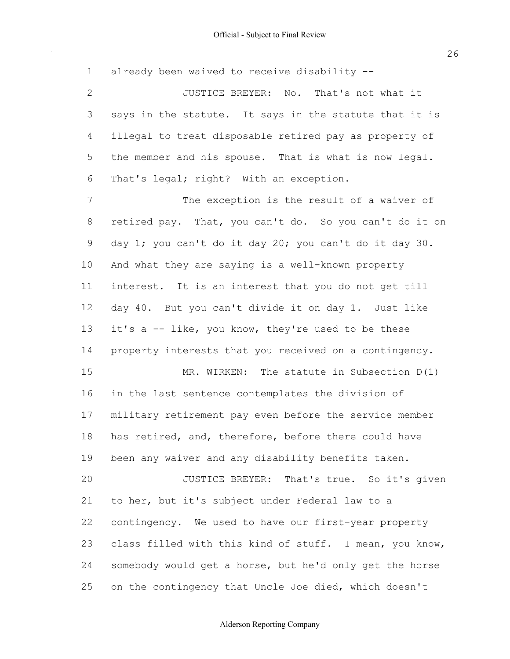already been waived to receive disability -- says in the statute. It says in the statute that it is illegal to treat disposable retired pay as property of the member and his spouse. That is what is now legal. That's legal; right? With an exception. retired pay. That, you can't do. So you can't do it on day 1; you can't do it day 20; you can't do it day 30. And what they are saying is a well-known property interest. It is an interest that you do not get till day 40. But you can't divide it on day 1. Just like it's a -- like, you know, they're used to be these property interests that you received on a contingency. in the last sentence contemplates the division of military retirement pay even before the service member has retired, and, therefore, before there could have been any waiver and any disability benefits taken. to her, but it's subject under Federal law to a contingency. We used to have our first-year property class filled with this kind of stuff. I mean, you know, somebody would get a horse, but he'd only get the horse on the contingency that Uncle Joe died, which doesn't 1 2 3 4 5 6 7 8 9 10 11 12 13 14 15 16 17 18 19 20 21 22 23 24 25 JUSTICE BREYER: No. That's not what it The exception is the result of a waiver of MR. WIRKEN: The statute in Subsection D(1) JUSTICE BREYER: That's true. So it's given

#### Alderson Reporting Company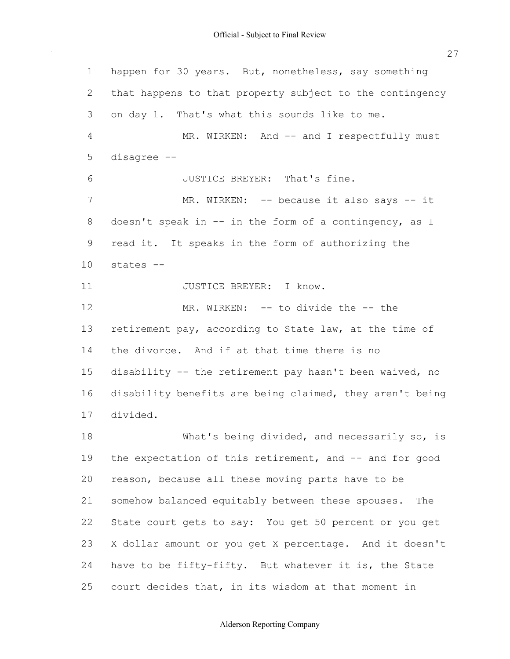happen for 30 years. But, nonetheless, say something that happens to that property subject to the contingency on day 1. That's what this sounds like to me. doesn't speak in -- in the form of a contingency, as I read it. It speaks in the form of authorizing the retirement pay, according to State law, at the time of the divorce. And if at that time there is no disability -- the retirement pay hasn't been waived, no disability benefits are being claimed, they aren't being the expectation of this retirement, and -- and for good reason, because all these moving parts have to be somehow balanced equitably between these spouses. The State court gets to say: You get 50 percent or you get X dollar amount or you get X percentage. And it doesn't have to be fifty-fifty. But whatever it is, the State court decides that, in its wisdom at that moment in 1 2 3 4 5 6 7 8 9 10 11 12 13 14 15 16 17 18 19 20 21 22 23 24 25 MR. WIRKEN: And -- and I respectfully must disagree -- JUSTICE BREYER: That's fine. MR. WIRKEN: -- because it also says -- it states -- JUSTICE BREYER: I know. MR. WIRKEN: -- to divide the -- the divided. What's being divided, and necessarily so, is

#### Alderson Reporting Company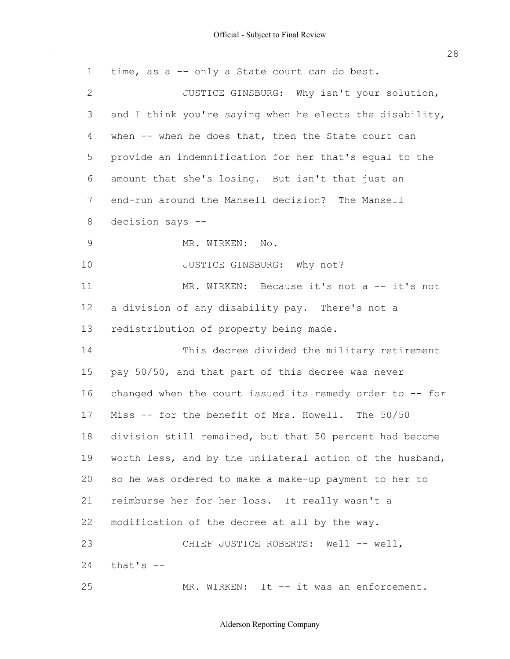$\sim$ 

| $\mathbf 1$    | time, as a -- only a State court can do best.              |
|----------------|------------------------------------------------------------|
| 2              | JUSTICE GINSBURG: Why isn't your solution,                 |
| 3              | and I think you're saying when he elects the disability,   |
| $\overline{4}$ | when -- when he does that, then the State court can        |
| 5              | provide an indemnification for her that's equal to the     |
| 6              | amount that she's losing. But isn't that just an           |
| 7              | end-run around the Mansell decision? The Mansell           |
| 8              | decision says --                                           |
| $\mathcal{G}$  | MR. WIRKEN:<br>$\mathbb{N} \circ$ .                        |
| 10             | JUSTICE GINSBURG: Why not?                                 |
| 11             | MR. WIRKEN: Because it's not a -- it's not                 |
| 12             | a division of any disability pay. There's not a            |
| 13             | redistribution of property being made.                     |
| 14             | This decree divided the military retirement                |
| 15             | pay 50/50, and that part of this decree was never          |
| 16             | changed when the court issued its remedy order to -- for   |
| 17             | Miss -- for the benefit of Mrs. Howell. The 50/50          |
|                | 18 division still remained, but that 50 percent had become |
| 19             | worth less, and by the unilateral action of the husband,   |
| 20             | so he was ordered to make a make-up payment to her to      |
| 21             | reimburse her for her loss. It really wasn't a             |
| 22             | modification of the decree at all by the way.              |
| 23             | CHIEF JUSTICE ROBERTS: Well -- well,                       |
| 24             | that's $-$                                                 |
| 25             | MR. WIRKEN: It -- it was an enforcement.                   |

#### Alderson Reporting Company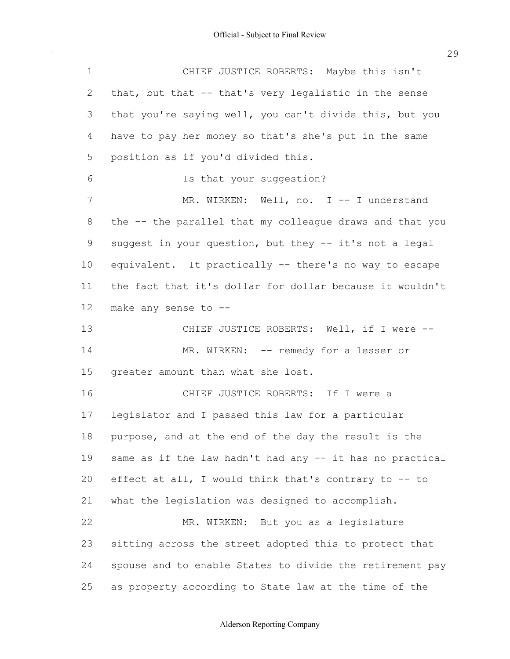$\sim$ 

| $\mathbf 1$    | CHIEF JUSTICE ROBERTS: Maybe this isn't                  |
|----------------|----------------------------------------------------------|
| 2              | that, but that -- that's very legalistic in the sense    |
| 3              | that you're saying well, you can't divide this, but you  |
| 4              | have to pay her money so that's she's put in the same    |
| 5              | position as if you'd divided this.                       |
| 6              | Is that your suggestion?                                 |
| $\overline{7}$ | MR. WIRKEN: Well, no. I -- I understand                  |
| 8              | the -- the parallel that my colleague draws and that you |
| $\mathsf 9$    | suggest in your question, but they -- it's not a legal   |
| 10             | equivalent. It practically -- there's no way to escape   |
| 11             | the fact that it's dollar for dollar because it wouldn't |
| 12             | make any sense to --                                     |
| 13             | CHIEF JUSTICE ROBERTS: Well, if I were --                |
| 14             | MR. WIRKEN: -- remedy for a lesser or                    |
| 15             | greater amount than what she lost.                       |
| 16             | CHIEF JUSTICE ROBERTS: If I were a                       |
| 17             | legislator and I passed this law for a particular        |
| 18             | purpose, and at the end of the day the result is the     |
| 19             | same as if the law hadn't had any -- it has no practical |
| 20             | effect at all, I would think that's contrary to -- to    |
| 21             | what the legislation was designed to accomplish.         |
| 22             | MR. WIRKEN: But you as a legislature                     |
| 23             | sitting across the street adopted this to protect that   |
| 24             | spouse and to enable States to divide the retirement pay |
| 25             | as property according to State law at the time of the    |

#### Alderson Reporting Company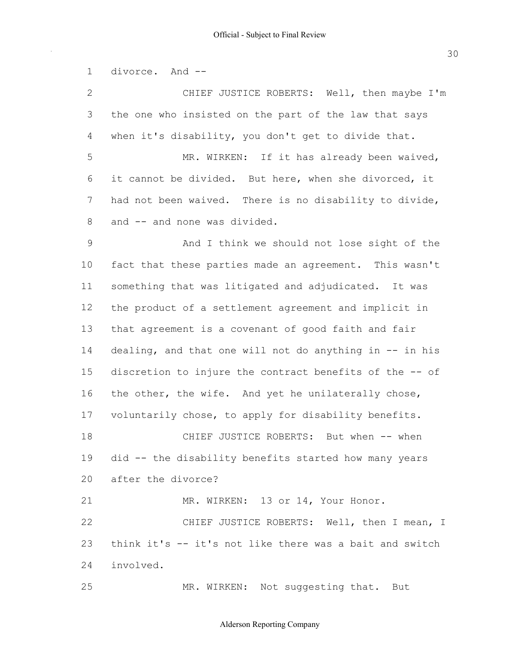divorce. And -- the one who insisted on the part of the law that says when it's disability, you don't get to divide that. it cannot be divided. But here, when she divorced, it had not been waived. There is no disability to divide, and -- and none was divided. fact that these parties made an agreement. This wasn't something that was litigated and adjudicated. It was the product of a settlement agreement and implicit in that agreement is a covenant of good faith and fair dealing, and that one will not do anything in -- in his discretion to injure the contract benefits of the -- of the other, the wife. And yet he unilaterally chose, voluntarily chose, to apply for disability benefits. did -- the disability benefits started how many years after the divorce? think it's -- it's not like there was a bait and switch 1 2 3 4 5 6 7 8 9 10 11 12 13 14 15 16 17 18 19 20 21 22 23 24 25 CHIEF JUSTICE ROBERTS: Well, then maybe I'm MR. WIRKEN: If it has already been waived, And I think we should not lose sight of the CHIEF JUSTICE ROBERTS: But when -- when MR. WIRKEN: 13 or 14, Your Honor. CHIEF JUSTICE ROBERTS: Well, then I mean, I involved. MR. WIRKEN: Not suggesting that. But

#### Alderson Reporting Company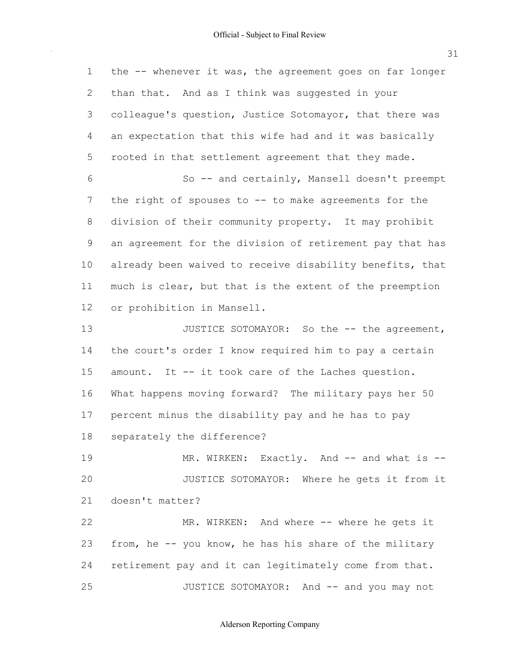the -- whenever it was, the agreement goes on far longer than that. And as I think was suggested in your colleague's question, Justice Sotomayor, that there was an expectation that this wife had and it was basically rooted in that settlement agreement that they made. the right of spouses to -- to make agreements for the division of their community property. It may prohibit an agreement for the division of retirement pay that has already been waived to receive disability benefits, that much is clear, but that is the extent of the preemption or prohibition in Mansell. the court's order I know required him to pay a certain amount. It -- it took care of the Laches question. What happens moving forward? The military pays her 50 percent minus the disability pay and he has to pay separately the difference? from, he -- you know, he has his share of the military retirement pay and it can legitimately come from that. 1 2 3 4 5 6 7 8 9 10 11 12 13 14 15 16 17 18 19 20 21 22 23 24 25 So -- and certainly, Mansell doesn't preempt JUSTICE SOTOMAYOR: So the -- the agreement, MR. WIRKEN: Exactly. And -- and what is --JUSTICE SOTOMAYOR: Where he gets it from it doesn't matter? MR. WIRKEN: And where -- where he gets it JUSTICE SOTOMAYOR: And -- and you may not

Alderson Reporting Company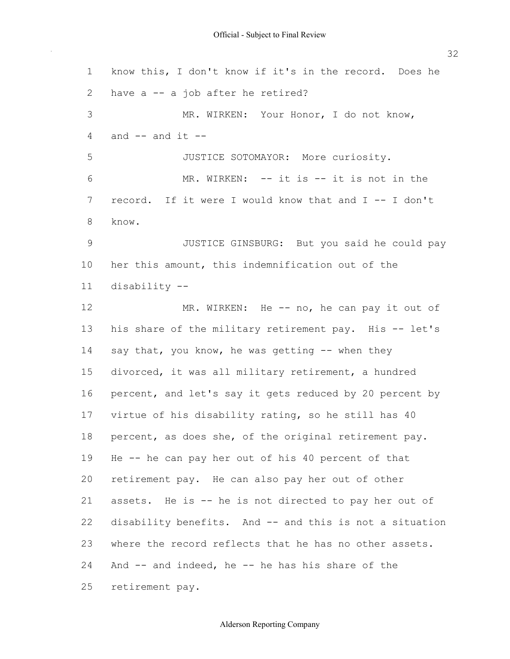know this, I don't know if it's in the record. Does he have a -- a job after he retired? and -- and it -- record. If it were I would know that and I -- I don't her this amount, this indemnification out of the his share of the military retirement pay. His -- let's say that, you know, he was getting -- when they divorced, it was all military retirement, a hundred percent, and let's say it gets reduced by 20 percent by virtue of his disability rating, so he still has 40 percent, as does she, of the original retirement pay. He -- he can pay her out of his 40 percent of that retirement pay. He can also pay her out of other assets. He is -- he is not directed to pay her out of disability benefits. And -- and this is not a situation where the record reflects that he has no other assets. And -- and indeed, he -- he has his share of the 1 2 3 4 5 6 7 8 9 10 11 12 13 14 15 16 17 18 19 20 21 22 23 24 25 MR. WIRKEN: Your Honor, I do not know, JUSTICE SOTOMAYOR: More curiosity. MR. WIRKEN: -- it is -- it is not in the know. JUSTICE GINSBURG: But you said he could pay disability -- MR. WIRKEN: He -- no, he can pay it out of retirement pay.

32

# Alderson Reporting Company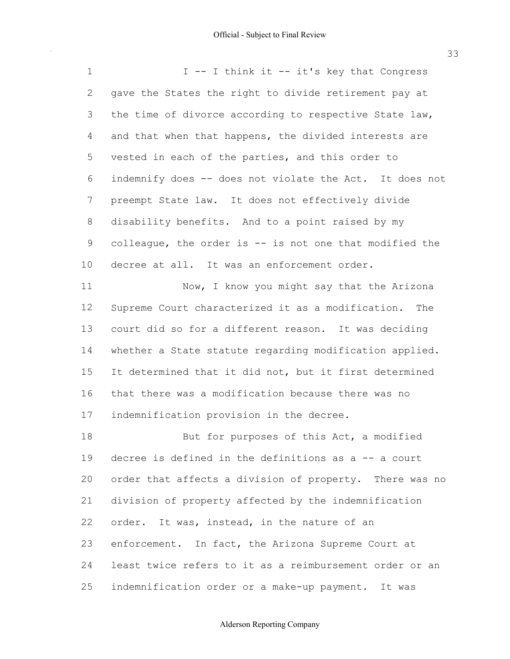gave the States the right to divide retirement pay at the time of divorce according to respective State law, and that when that happens, the divided interests are vested in each of the parties, and this order to indemnify does -- does not violate the Act. It does not preempt State law. It does not effectively divide disability benefits. And to a point raised by my colleague, the order is -- is not one that modified the decree at all. It was an enforcement order. Supreme Court characterized it as a modification. The court did so for a different reason. It was deciding 1 2 3 4 5 6 7 8 9 10 11 12 13 I -- I think it -- it's key that Congress Now, I know you might say that the Arizona

 whether a State statute regarding modification applied. It determined that it did not, but it first determined that there was a modification because there was no indemnification provision in the decree. 14 15 16 17

 decree is defined in the definitions as a -- a court order that affects a division of property. There was no division of property affected by the indemnification order. It was, instead, in the nature of an enforcement. In fact, the Arizona Supreme Court at least twice refers to it as a reimbursement order or an indemnification order or a make-up payment. It was 18 19  $20$ 21 22 23 24 25 But for purposes of this Act, a modified

#### Alderson Reporting Company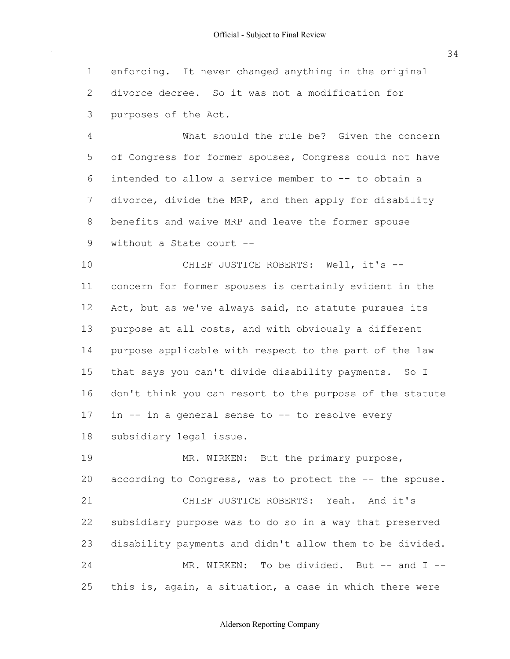enforcing. It never changed anything in the original divorce decree. So it was not a modification for purposes of the Act. 1 2 3

 of Congress for former spouses, Congress could not have intended to allow a service member to -- to obtain a divorce, divide the MRP, and then apply for disability without a State court -- 4 5 6 7 8 9 What should the rule be? Given the concern benefits and waive MRP and leave the former spouse

 concern for former spouses is certainly evident in the Act, but as we've always said, no statute pursues its purpose at all costs, and with obviously a different purpose applicable with respect to the part of the law that says you can't divide disability payments. So I don't think you can resort to the purpose of the statute in -- in a general sense to -- to resolve every subsidiary legal issue. 10 11 12 13 14 15 16 17 18 CHIEF JUSTICE ROBERTS: Well, it's --

according to Congress, was to protect the -- the spouse. subsidiary purpose was to do so in a way that preserved disability payments and didn't allow them to be divided. this is, again, a situation, a case in which there were 19 20 21 22 23 24 25 MR. WIRKEN: But the primary purpose, CHIEF JUSTICE ROBERTS: Yeah. And it's MR. WIRKEN: To be divided. But -- and I --

# Alderson Reporting Company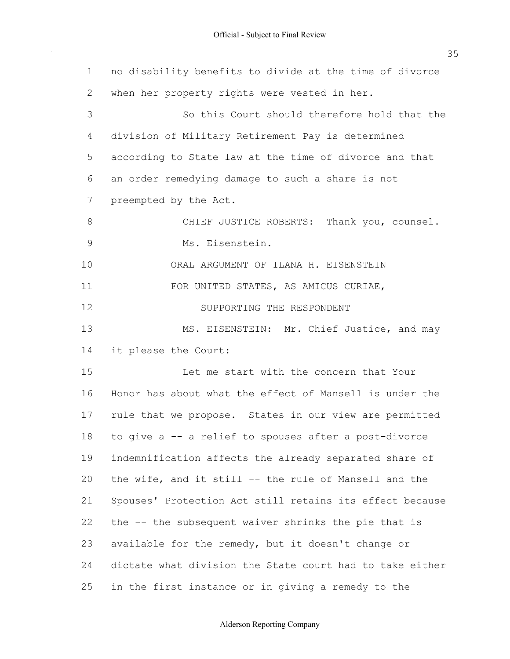$\sim$ 

| $\mathbf 1$   | no disability benefits to divide at the time of divorce  |
|---------------|----------------------------------------------------------|
| 2             | when her property rights were vested in her.             |
| 3             | So this Court should therefore hold that the             |
| 4             | division of Military Retirement Pay is determined        |
| 5             | according to State law at the time of divorce and that   |
| 6             | an order remedying damage to such a share is not         |
| 7             | preempted by the Act.                                    |
| 8             | CHIEF JUSTICE ROBERTS: Thank you, counsel.               |
| $\mathcal{G}$ | Ms. Eisenstein.                                          |
| 10            | ORAL ARGUMENT OF ILANA H. EISENSTEIN                     |
| 11            | FOR UNITED STATES, AS AMICUS CURIAE,                     |
| 12            | SUPPORTING THE RESPONDENT                                |
| 13            | MS. EISENSTEIN: Mr. Chief Justice, and may               |
| 14            | it please the Court:                                     |
| 15            | Let me start with the concern that Your                  |
| 16            | Honor has about what the effect of Mansell is under the  |
| 17            | rule that we propose. States in our view are permitted   |
| 18            | to give a -- a relief to spouses after a post-divorce    |
| 19            | indemnification affects the already separated share of   |
| 20            | the wife, and it still -- the rule of Mansell and the    |
| 21            | Spouses' Protection Act still retains its effect because |
| 22            | the -- the subsequent waiver shrinks the pie that is     |
| 23            | available for the remedy, but it doesn't change or       |
| 24            | dictate what division the State court had to take either |
| 25            | in the first instance or in giving a remedy to the       |

#### Alderson Reporting Company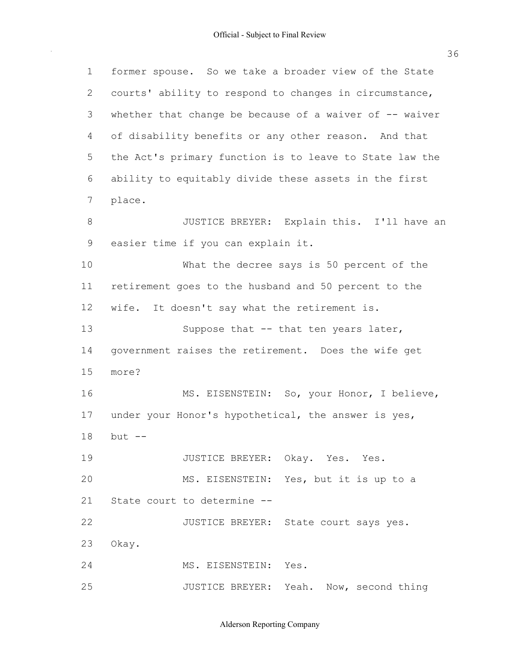$\sim$ 

| $\mathbf 1$  | former spouse. So we take a broader view of the State    |
|--------------|----------------------------------------------------------|
| $\mathbf{2}$ | courts' ability to respond to changes in circumstance,   |
| 3            | whether that change be because of a waiver of $-$ waiver |
| 4            | of disability benefits or any other reason. And that     |
| 5            | the Act's primary function is to leave to State law the  |
| 6            | ability to equitably divide these assets in the first    |
| 7            | place.                                                   |
| $8\,$        | JUSTICE BREYER: Explain this. I'll have an               |
| 9            | easier time if you can explain it.                       |
| 10           | What the decree says is 50 percent of the                |
| 11           | retirement goes to the husband and 50 percent to the     |
| 12           | wife. It doesn't say what the retirement is.             |
| 13           | Suppose that -- that ten years later,                    |
| 14           | government raises the retirement. Does the wife get      |
| 15           | more?                                                    |
| 16           | MS. EISENSTEIN: So, your Honor, I believe,               |
| 17           | under your Honor's hypothetical, the answer is yes,      |
| 18           | but --                                                   |
| 19           | JUSTICE BREYER: Okay. Yes. Yes.                          |
| 20           | MS. EISENSTEIN: Yes, but it is up to a                   |
| 21           | State court to determine --                              |
| 22           | JUSTICE BREYER: State court says yes.                    |
| 23           | Okay.                                                    |
| 24           | MS. EISENSTEIN: Yes.                                     |
| 25           | JUSTICE BREYER: Yeah. Now, second thing                  |

Alderson Reporting Company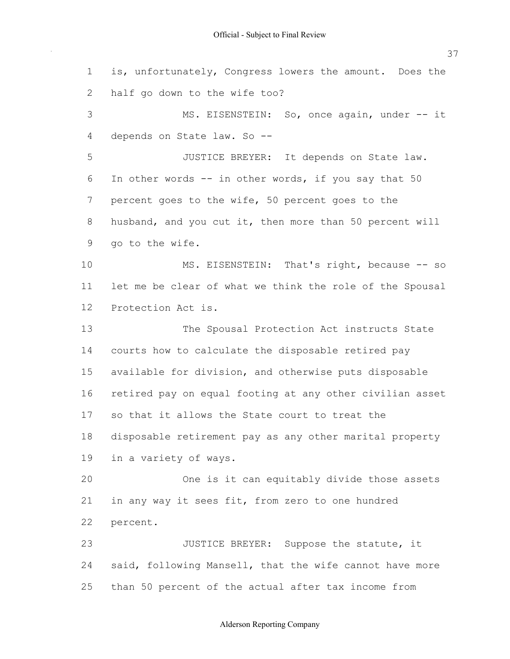is, unfortunately, Congress lowers the amount. Does the half go down to the wife too? depends on State law. So -- In other words -- in other words, if you say that 50 percent goes to the wife, 50 percent goes to the husband, and you cut it, then more than 50 percent will go to the wife. let me be clear of what we think the role of the Spousal Protection Act is. courts how to calculate the disposable retired pay available for division, and otherwise puts disposable retired pay on equal footing at any other civilian asset so that it allows the State court to treat the disposable retirement pay as any other marital property in a variety of ways. in any way it sees fit, from zero to one hundred said, following Mansell, that the wife cannot have more than 50 percent of the actual after tax income from 1 2 3 4 5 6 7 8 9 10 11 12 13 14 15 16 17 18 19 20 21 22 23 24 25 MS. EISENSTEIN: So, once again, under -- it JUSTICE BREYER: It depends on State law. MS. EISENSTEIN: That's right, because -- so The Spousal Protection Act instructs State One is it can equitably divide those assets percent. JUSTICE BREYER: Suppose the statute, it

# 37

# Alderson Reporting Company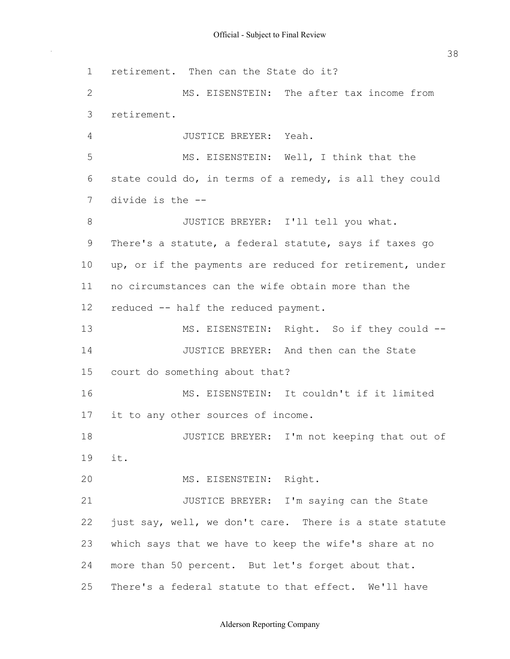retirement. Then can the State do it? state could do, in terms of a remedy, is all they could divide is the -- There's a statute, a federal statute, says if taxes go up, or if the payments are reduced for retirement, under no circumstances can the wife obtain more than the reduced -- half the reduced payment. court do something about that? it to any other sources of income. just say, well, we don't care. There is a state statute which says that we have to keep the wife's share at no more than 50 percent. But let's forget about that. There's a federal statute to that effect. We'll have 1 2 3 4 5 6 7 8 9 10 11 12 13 14 15 16 17 18 19 20 21 22 23 24 25 MS. EISENSTEIN: The after tax income from retirement. JUSTICE BREYER: Yeah. MS. EISENSTEIN: Well, I think that the JUSTICE BREYER: I'll tell you what. MS. EISENSTEIN: Right. So if they could --JUSTICE BREYER: And then can the State MS. EISENSTEIN: It couldn't if it limited JUSTICE BREYER: I'm not keeping that out of it. MS. EISENSTEIN: Right. JUSTICE BREYER: I'm saying can the State

# Alderson Reporting Company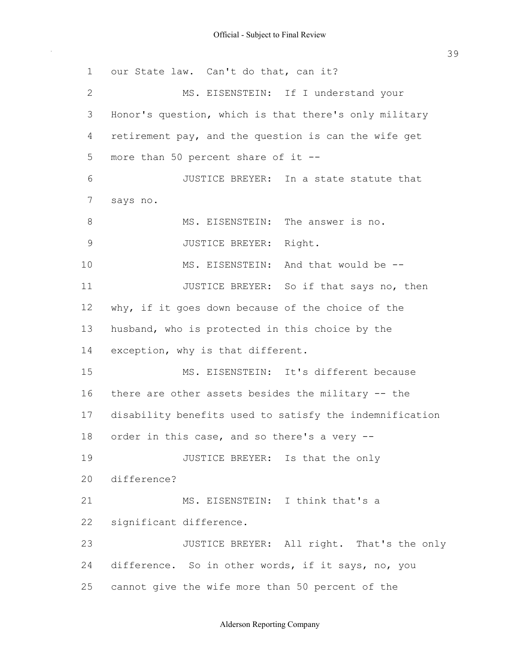our State law. Can't do that, can it? Honor's question, which is that there's only military retirement pay, and the question is can the wife get more than 50 percent share of it -- why, if it goes down because of the choice of the husband, who is protected in this choice by the exception, why is that different. there are other assets besides the military -- the disability benefits used to satisfy the indemnification order in this case, and so there's a very -- difference. So in other words, if it says, no, you cannot give the wife more than 50 percent of the 1 2 3 4 5 6 7 8 9 10 11 12 13 14 15 16 17 18 19 20 21 22 23 24 25 MS. EISENSTEIN: If I understand your JUSTICE BREYER: In a state statute that says no. MS. EISENSTEIN: The answer is no. JUSTICE BREYER: Right. MS. EISENSTEIN: And that would be -- JUSTICE BREYER: So if that says no, then MS. EISENSTEIN: It's different because JUSTICE BREYER: Is that the only difference? MS. EISENSTEIN: I think that's a significant difference. JUSTICE BREYER: All right. That's the only

# Alderson Reporting Company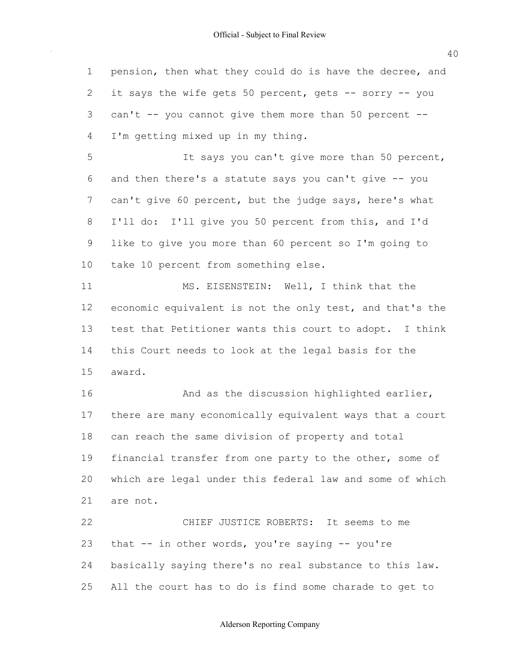pension, then what they could do is have the decree, and it says the wife gets 50 percent, gets -- sorry -- you can't -- you cannot give them more than 50 percent -- I'm getting mixed up in my thing. and then there's a statute says you can't give -- you can't give 60 percent, but the judge says, here's what I'll do: I'll give you 50 percent from this, and I'd like to give you more than 60 percent so I'm going to take 10 percent from something else. economic equivalent is not the only test, and that's the test that Petitioner wants this court to adopt. I think this Court needs to look at the legal basis for the there are many economically equivalent ways that a court can reach the same division of property and total financial transfer from one party to the other, some of which are legal under this federal law and some of which that -- in other words, you're saying -- you're basically saying there's no real substance to this law. 1 2 3 4 5 6 7 8 9 10 11 12 13 14 15 16 17 18 19 20 21 22 23 24 It says you can't give more than 50 percent, MS. EISENSTEIN: Well, I think that the award. And as the discussion highlighted earlier, are not. CHIEF JUSTICE ROBERTS: It seems to me

 All the court has to do is find some charade to get to 25

Alderson Reporting Company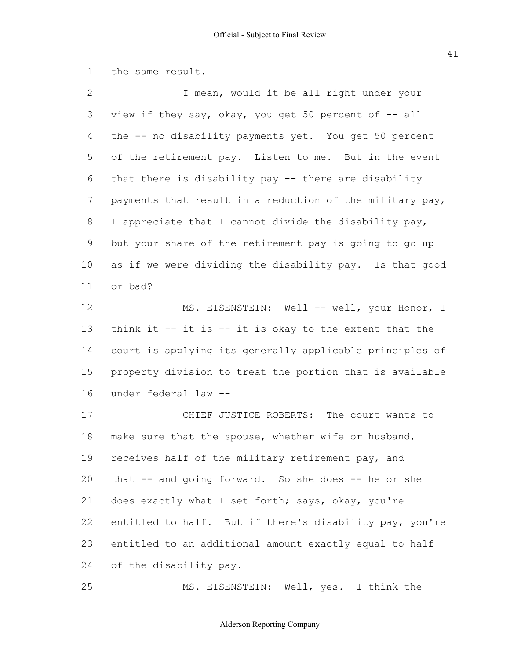the same result. view if they say, okay, you get 50 percent of -- all the -- no disability payments yet. You get 50 percent of the retirement pay. Listen to me. But in the event that there is disability pay -- there are disability payments that result in a reduction of the military pay, I appreciate that I cannot divide the disability pay, but your share of the retirement pay is going to go up as if we were dividing the disability pay. Is that good think it -- it is -- it is okay to the extent that the court is applying its generally applicable principles of property division to treat the portion that is available under federal law -- make sure that the spouse, whether wife or husband, receives half of the military retirement pay, and that -- and going forward. So she does -- he or she does exactly what I set forth; says, okay, you're entitled to half. But if there's disability pay, you're entitled to an additional amount exactly equal to half of the disability pay. 1 2 3 4 5 6 7 8 9 10 11 12 13 14 15 16 17 18 19 20 21 22 23 24 I mean, would it be all right under your or bad? MS. EISENSTEIN: Well -- well, your Honor, I CHIEF JUSTICE ROBERTS: The court wants to

25 MS. EISENSTEIN: Well, yes. I think the

#### Alderson Reporting Company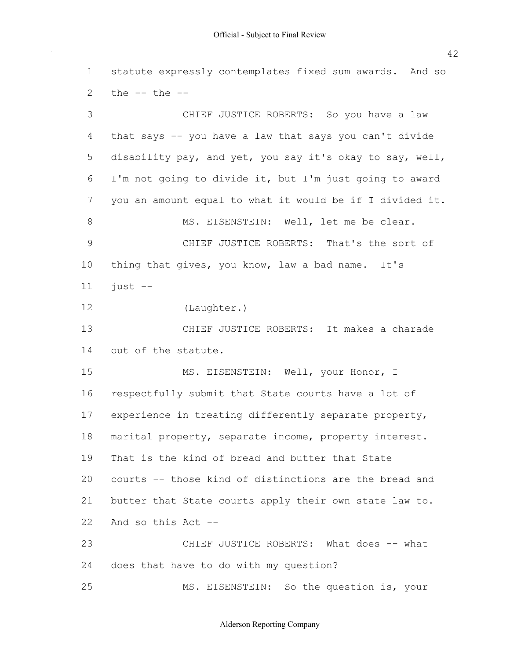statute expressly contemplates fixed sum awards. And so the -- the -- that says -- you have a law that says you can't divide disability pay, and yet, you say it's okay to say, well, I'm not going to divide it, but I'm just going to award you an amount equal to what it would be if I divided it. thing that gives, you know, law a bad name. It's out of the statute. respectfully submit that State courts have a lot of experience in treating differently separate property, marital property, separate income, property interest. That is the kind of bread and butter that State courts -- those kind of distinctions are the bread and butter that State courts apply their own state law to. And so this Act -- does that have to do with my question? 1 2 3 4 5 6 7 8 9 10 11 12 13 14 15 16 17 18 19 20 21 22 23 24 25 CHIEF JUSTICE ROBERTS: So you have a law MS. EISENSTEIN: Well, let me be clear. CHIEF JUSTICE ROBERTS: That's the sort of just -- (Laughter.) CHIEF JUSTICE ROBERTS: It makes a charade MS. EISENSTEIN: Well, your Honor, I CHIEF JUSTICE ROBERTS: What does -- what MS. EISENSTEIN: So the question is, your

Alderson Reporting Company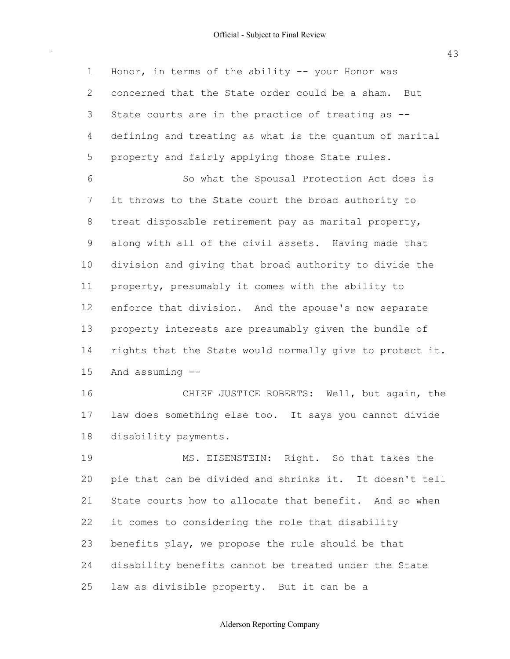$\bar{\beta}$ 

| $\mathbf 1$  | Honor, in terms of the ability -- your Honor was         |
|--------------|----------------------------------------------------------|
| $\mathbf{2}$ | concerned that the State order could be a sham. But      |
| 3            | State courts are in the practice of treating as --       |
| 4            | defining and treating as what is the quantum of marital  |
| 5            | property and fairly applying those State rules.          |
| 6            | So what the Spousal Protection Act does is               |
| 7            | it throws to the State court the broad authority to      |
| 8            | treat disposable retirement pay as marital property,     |
| $\mathsf 9$  | along with all of the civil assets. Having made that     |
| 10           | division and giving that broad authority to divide the   |
| 11           | property, presumably it comes with the ability to        |
| 12           | enforce that division. And the spouse's now separate     |
| 13           | property interests are presumably given the bundle of    |
| 14           | rights that the State would normally give to protect it. |
| 15           | And assuming $--$                                        |
| 16           | CHIEF JUSTICE ROBERTS: Well, but again, the              |
| 17           | law does something else too. It says you cannot divide   |
| 18           | disability payments.                                     |
| 19           | MS. EISENSTEIN: Right. So that takes the                 |
| 20           | pie that can be divided and shrinks it. It doesn't tell  |
| 21           | State courts how to allocate that benefit. And so when   |
| 22           | it comes to considering the role that disability         |
| 23           | benefits play, we propose the rule should be that        |
| 24           | disability benefits cannot be treated under the State    |
| 25           | law as divisible property. But it can be a               |

43

# Alderson Reporting Company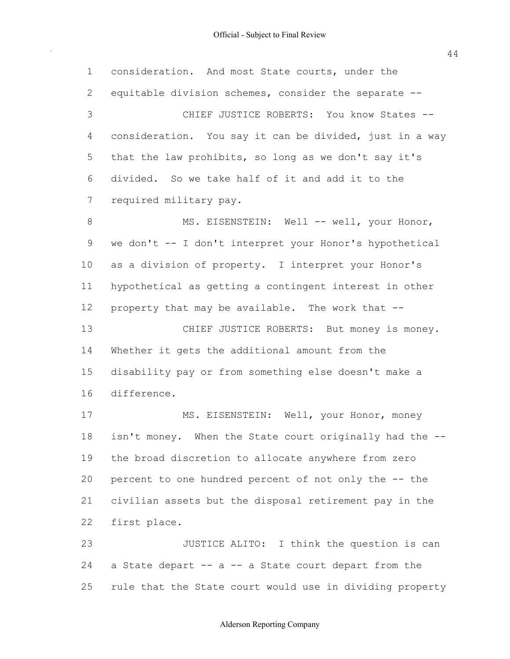1

2

3

4

5

6

7

8

9

10

11

12

13

14

15

16

17

18

19

20

21

22

23

24

 consideration. And most State courts, under the equitable division schemes, consider the separate -- consideration. You say it can be divided, just in a way that the law prohibits, so long as we don't say it's divided. So we take half of it and add it to the required military pay. we don't -- I don't interpret your Honor's hypothetical as a division of property. I interpret your Honor's hypothetical as getting a contingent interest in other property that may be available. The work that -- Whether it gets the additional amount from the disability pay or from something else doesn't make a isn't money. When the State court originally had the -- the broad discretion to allocate anywhere from zero percent to one hundred percent of not only the -- the civilian assets but the disposal retirement pay in the a State depart -- a -- a State court depart from the CHIEF JUSTICE ROBERTS: You know States -- MS. EISENSTEIN: Well -- well, your Honor, CHIEF JUSTICE ROBERTS: But money is money. difference. MS. EISENSTEIN: Well, your Honor, money first place. JUSTICE ALITO: I think the question is can

 rule that the State court would use in dividing property 25

#### Alderson Reporting Company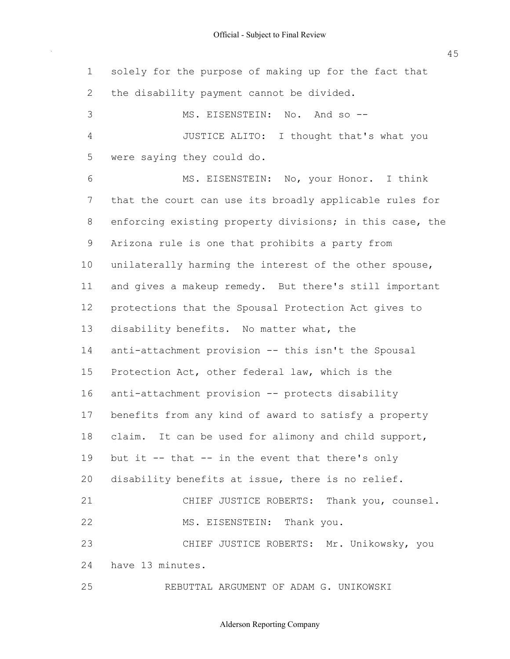$\bar{\beta}$ 

45

| $\mathbf{1}$   | solely for the purpose of making up for the fact that    |
|----------------|----------------------------------------------------------|
| 2              | the disability payment cannot be divided.                |
| 3              | MS. EISENSTEIN: No. And so --                            |
| $\overline{4}$ | JUSTICE ALITO: I thought that's what you                 |
| 5              | were saying they could do.                               |
| 6              | MS. EISENSTEIN: No, your Honor. I think                  |
| 7              | that the court can use its broadly applicable rules for  |
| 8              | enforcing existing property divisions; in this case, the |
| 9              | Arizona rule is one that prohibits a party from          |
| 10             | unilaterally harming the interest of the other spouse,   |
| 11             | and gives a makeup remedy. But there's still important   |
| 12             | protections that the Spousal Protection Act gives to     |
| 13             | disability benefits. No matter what, the                 |
| 14             | anti-attachment provision -- this isn't the Spousal      |
| 15             | Protection Act, other federal law, which is the          |
| 16             | anti-attachment provision -- protects disability         |
| 17             | benefits from any kind of award to satisfy a property    |
| 18             | claim. It can be used for alimony and child support,     |
| 19             | but it $-$ - that $-$ in the event that there's only     |
| 20             | disability benefits at issue, there is no relief.        |
| 21             | CHIEF JUSTICE ROBERTS: Thank you, counsel.               |
| 22             | MS. EISENSTEIN: Thank you.                               |
| 23             | CHIEF JUSTICE ROBERTS: Mr. Unikowsky, you                |
| 24             | have 13 minutes.                                         |
| 25             | REBUTTAL ARGUMENT OF ADAM G. UNIKOWSKI                   |

Alderson Reporting Company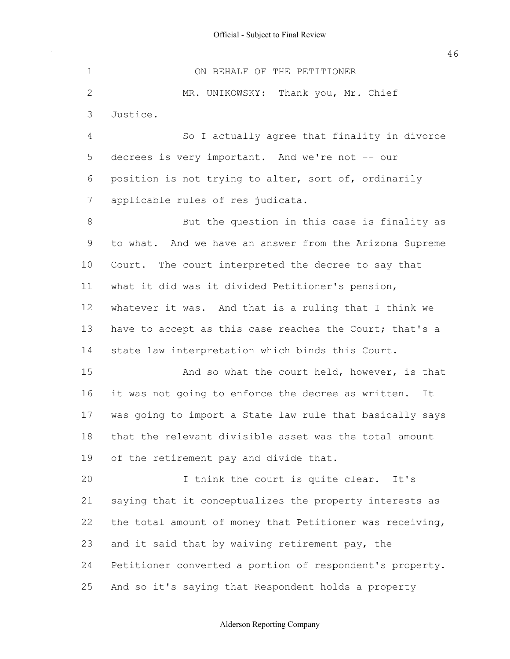decrees is very important. And we're not -- our position is not trying to alter, sort of, ordinarily applicable rules of res judicata. to what. And we have an answer from the Arizona Supreme Court. The court interpreted the decree to say that what it did was it divided Petitioner's pension, whatever it was. And that is a ruling that I think we have to accept as this case reaches the Court; that's a state law interpretation which binds this Court. it was not going to enforce the decree as written. It was going to import a State law rule that basically says that the relevant divisible asset was the total amount of the retirement pay and divide that. saying that it conceptualizes the property interests as the total amount of money that Petitioner was receiving, and it said that by waiving retirement pay, the Petitioner converted a portion of respondent's property. And so it's saying that Respondent holds a property 1 2 3 4 5 6 7 8 9 10 11 12 13 14 15 16 17 18 19 20 21 22 23 24 25 ON BEHALF OF THE PETITIONER MR. UNIKOWSKY: Thank you, Mr. Chief Justice. So I actually agree that finality in divorce But the question in this case is finality as And so what the court held, however, is that I think the court is quite clear. It's

# Alderson Reporting Company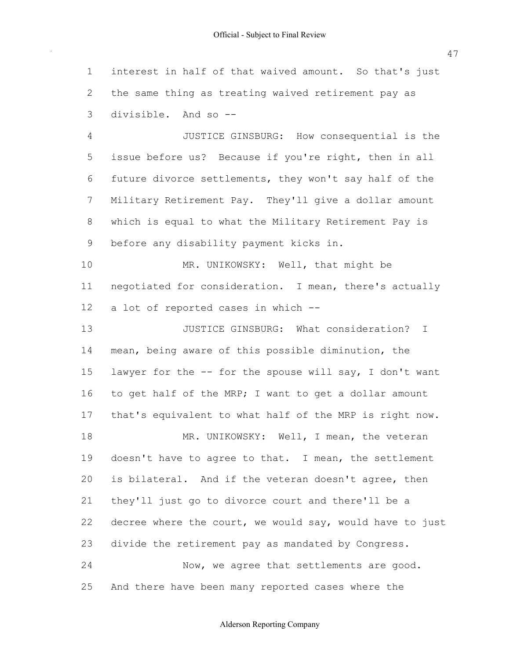interest in half of that waived amount. So that's just the same thing as treating waived retirement pay as divisible. And so -- 1 2 3

 issue before us? Because if you're right, then in all future divorce settlements, they won't say half of the Military Retirement Pay. They'll give a dollar amount which is equal to what the Military Retirement Pay is before any disability payment kicks in. 4 5 6 7 8 9 JUSTICE GINSBURG: How consequential is the

 negotiated for consideration. I mean, there's actually a lot of reported cases in which -- 10 11 12 MR. UNIKOWSKY: Well, that might be

 mean, being aware of this possible diminution, the lawyer for the -- for the spouse will say, I don't want to get half of the MRP; I want to get a dollar amount that's equivalent to what half of the MRP is right now. doesn't have to agree to that. I mean, the settlement is bilateral. And if the veteran doesn't agree, then they'll just go to divorce court and there'll be a decree where the court, we would say, would have to just divide the retirement pay as mandated by Congress. And there have been many reported cases where the 13 14 15 16 17 18 19 20 21 22 23 24 25 JUSTICE GINSBURG: What consideration? I MR. UNIKOWSKY: Well, I mean, the veteran Now, we agree that settlements are good.

Alderson Reporting Company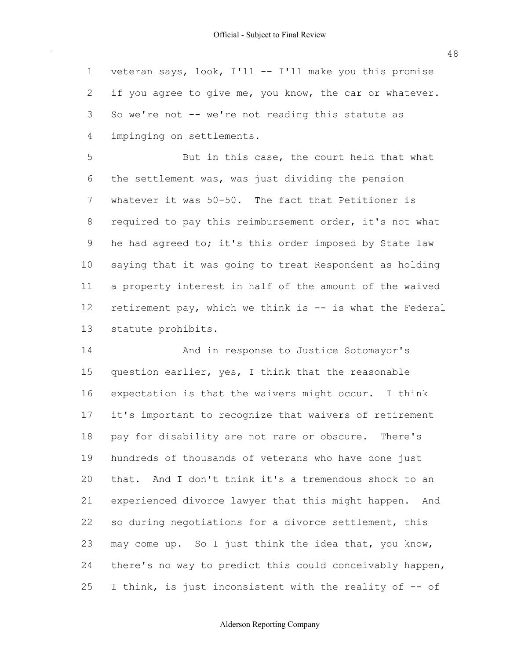veteran says, look, I'll -- I'll make you this promise if you agree to give me, you know, the car or whatever. So we're not -- we're not reading this statute as impinging on settlements. 1 2 3 4

 the settlement was, was just dividing the pension whatever it was 50-50. The fact that Petitioner is required to pay this reimbursement order, it's not what he had agreed to; it's this order imposed by State law saying that it was going to treat Respondent as holding a property interest in half of the amount of the waived retirement pay, which we think is -- is what the Federal 5 6 7 8 9 10 11 12 13 But in this case, the court held that what statute prohibits.

 question earlier, yes, I think that the reasonable expectation is that the waivers might occur. I think it's important to recognize that waivers of retirement pay for disability are not rare or obscure. There's hundreds of thousands of veterans who have done just that. And I don't think it's a tremendous shock to an experienced divorce lawyer that this might happen. And so during negotiations for a divorce settlement, this may come up. So I just think the idea that, you know, there's no way to predict this could conceivably happen, I think, is just inconsistent with the reality of -- of 14 15 16 17 18 19  $20$ 21 22 23 24 25 And in response to Justice Sotomayor's

#### Alderson Reporting Company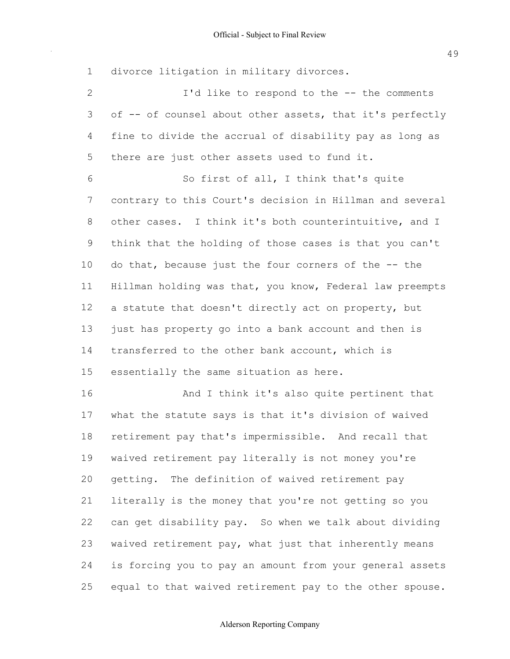divorce litigation in military divorces. of -- of counsel about other assets, that it's perfectly fine to divide the accrual of disability pay as long as there are just other assets used to fund it. contrary to this Court's decision in Hillman and several other cases. I think it's both counterintuitive, and I think that the holding of those cases is that you can't do that, because just the four corners of the -- the Hillman holding was that, you know, Federal law preempts a statute that doesn't directly act on property, but just has property go into a bank account and then is transferred to the other bank account, which is essentially the same situation as here. what the statute says is that it's division of waived retirement pay that's impermissible. And recall that waived retirement pay literally is not money you're getting. The definition of waived retirement pay literally is the money that you're not getting so you can get disability pay. So when we talk about dividing waived retirement pay, what just that inherently means is forcing you to pay an amount from your general assets equal to that waived retirement pay to the other spouse. 1 2 3 4 5 6 7 8 9 10 11 12 13 14 15 16 17 18 19 20 21 22 23 24 25 I'd like to respond to the -- the comments So first of all, I think that's quite And I think it's also quite pertinent that

#### Alderson Reporting Company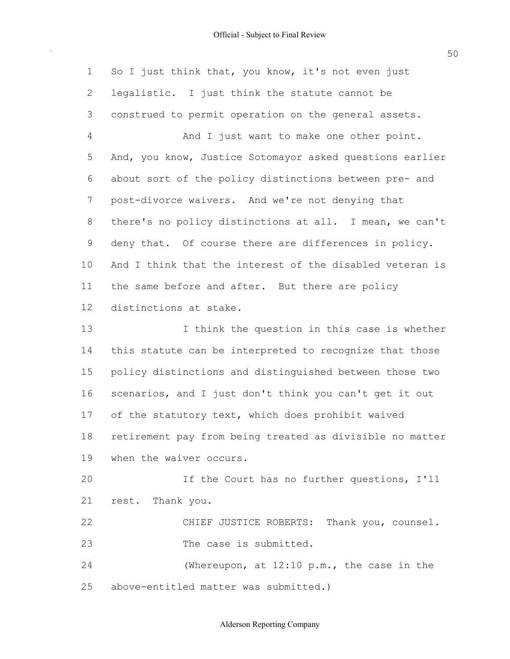$\sim$ 

| $\mathbf 1$    | So I just think that, you know, it's not even just       |
|----------------|----------------------------------------------------------|
| $\mathbf{2}$   | legalistic. I just think the statute cannot be           |
| 3              | construed to permit operation on the general assets.     |
| $\overline{4}$ | And I just want to make one other point.                 |
| 5              | And, you know, Justice Sotomayor asked questions earlier |
| 6              | about sort of the policy distinctions between pre- and   |
| 7              | post-divorce waivers. And we're not denying that         |
| 8              | there's no policy distinctions at all. I mean, we can't  |
| 9              | deny that. Of course there are differences in policy.    |
| 10             | And I think that the interest of the disabled veteran is |
| 11             | the same before and after. But there are policy          |
| 12             | distinctions at stake.                                   |
| 13             | I think the question in this case is whether             |
| 14             | this statute can be interpreted to recognize that those  |
| 15             | policy distinctions and distinguished between those two  |
| 16             | scenarios, and I just don't think you can't get it out   |
| 17             | of the statutory text, which does prohibit waived        |
| 18             | retirement pay from being treated as divisible no matter |
| 19             | when the waiver occurs.                                  |
| 20             | If the Court has no further questions, I'll              |
| 21             | rest. Thank you.                                         |
| 22             | CHIEF JUSTICE ROBERTS: Thank you, counsel.               |
| 23             | The case is submitted.                                   |
| 24             | (Whereupon, at $12:10$ p.m., the case in the             |
| 25             | above-entitled matter was submitted.)                    |

50

#### Alderson Reporting Company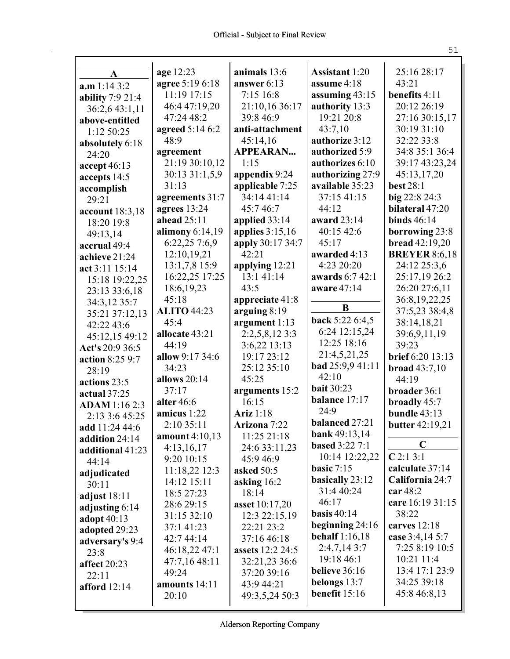| A                    | age 12:23                      | animals 13:6<br>answer 6:13 | <b>Assistant 1:20</b><br>assume 4:18 | 25:16 28:17<br>43:21    |
|----------------------|--------------------------------|-----------------------------|--------------------------------------|-------------------------|
| a.m 1:14 3:2         | agree 5:19 6:18<br>11:19 17:15 |                             |                                      |                         |
| ability 7:9 21:4     |                                | 7:15 16:8                   | assuming $43:15$                     | benefits 4:11           |
| 36:2,6 43:1,11       | 46:4 47:19,20                  | 21:10,16 36:17              | authority 13:3                       | 20:12 26:19             |
| above-entitled       | 47:24 48:2                     | 39:8 46:9                   | 19:21 20:8                           | 27:16 30:15,17          |
| 1:12 50:25           | agreed 5:14 6:2                | anti-attachment             | 43:7,10                              | 30:19 31:10             |
| absolutely 6:18      | 48:9                           | 45:14,16                    | authorize 3:12                       | 32:22 33:8              |
| 24:20                | agreement                      | <b>APPEARAN</b>             | authorized 5:9                       | 34:8 35:1 36:4          |
| accept 46:13         | 21:19 30:10,12                 | 1:15                        | authorizes 6:10                      | 39:17 43:23,24          |
| accepts 14:5         | 30:13 31:1,5,9                 | appendix 9:24               | authorizing 27:9                     | 45:13,17,20             |
| accomplish           | 31:13                          | applicable 7:25             | available 35:23                      | <b>best 28:1</b>        |
| 29:21                | agreements 31:7                | 34:14 41:14                 | 37:15 41:15                          | big 22:8 24:3           |
| account 18:3,18      | agrees $13:24$                 | 45:746:7                    | 44:12                                | bilateral 47:20         |
| 18:20 19:8           | ahead 25:11                    | applied 33:14               | award 23:14                          | binds $46:14$           |
| 49:13,14             | alimony $6:14,19$              | applies $3:15,16$           | 40:15 42:6                           | borrowing 23:8          |
| accrual 49:4         | 6:22,25 7:6,9                  | apply 30:17 34:7            | 45:17                                | bread 42:19,20          |
| achieve 21:24        | 12:10,19,21                    | 42:21                       | awarded 4:13                         | <b>BREYER 8:6,18</b>    |
| act 3:11 15:14       | 13:1,7,8 15:9                  | applying 12:21              | 4:23 20:20                           | 24:12 25:3.6            |
| 15:18 19:22,25       | 16:22,25 17:25                 | 13:141:14                   | awards 6:7 42:1                      | 25:17,19 26:2           |
| 23:13 33:6,18        | 18:6, 19, 23                   | 43:5                        | aware 47:14                          | 26:20 27:6,11           |
| 34:3,12 35:7         | 45:18                          | appreciate 41:8             | B                                    | 36:8,19,22,25           |
| 35:21 37:12,13       | <b>ALITO 44:23</b>             | arguing $8:19$              |                                      | 37:5,23 38:4,8          |
| 42:22 43:6           | 45:4                           | argument 1:13               | <b>back</b> 5:22 6:4,5               | 38:14,18,21             |
| 45:12,15 49:12       | allocate 43:21                 | 2:2,5,8,12 3:3              | 6:24 12:15,24                        | 39:6,9,11,19            |
| Act's 20:9 36:5      | 44:19                          | 3:6,22 13:13                | 12:25 18:16                          | 39:23                   |
| action 8:25 9:7      | allow 9:17 34:6                | 19:17 23:12                 | 21:4,5,21,25                         | <b>brief</b> 6:20 13:13 |
| 28:19                | 34:23                          | 25:12 35:10                 | bad 25:9,9 41:11                     | broad $43:7,10$         |
| actions 23:5         | allows 20:14                   | 45:25                       | 42:10                                | 44:19                   |
| actual 37:25         | 37:17                          | arguments 15:2              | <b>bait 30:23</b>                    | broader 36:1            |
| <b>ADAM</b> 1:16 2:3 | alter 46:6                     | 16:15                       | balance 17:17                        | broadly 45:7            |
| 2:13 3:6 45:25       | amicus 1:22                    | Ariz 1:18                   | 24:9                                 | bundle 43:13            |
| add 11:24 44:6       | 2:10 35:11                     | Arizona 7:22                | balanced 27:21                       | butter 42:19,21         |
| addition 24:14       | amount 4:10,13                 | 11:25 21:18                 | bank 49:13,14                        | C                       |
| additional 41:23     | 4:13,16,17                     | 24:6 33:11,23               | <b>based</b> 3:22 7:1                | C2:13:1                 |
| 44:14                | 9:20 10:15                     | 45:9 46:9                   | 10:14 12:22,22                       |                         |
| adjudicated          | 11:18,22 12:3                  | asked 50:5                  | basic $7:15$                         | calculate 37:14         |
| 30:11                | 14:12 15:11                    | asking 16:2                 | basically 23:12                      | California 24:7         |
| adjust $18:11$       | 18:5 27:23                     | 18:14                       | 31:4 40:24                           | car 48:2                |
| adjusting 6:14       | 28:6 29:15                     | asset 10:17,20              | 46:17                                | care 16:19 31:15        |
| adopt 40:13          | 31:15 32:10                    | 12:3 22:15,19               | basis $40:14$                        | 38:22                   |
| adopted 29:23        | 37:1 41:23                     | 22:21 23:2                  | beginning $24:16$                    | carves $12:18$          |
| adversary's 9:4      | 42:7 44:14                     | 37:16 46:18                 | <b>behalf</b> 1:16,18                | case 3:4,14 5:7         |
| 23:8                 | 46:18,22 47:1                  | <b>assets</b> 12:2 24:5     | $2:4,7,14$ 3:7                       | 7:25 8:19 10:5          |
| affect 20:23         | 47:7,16 48:11                  | 32:21,23 36:6               | 19:18 46:1                           | 10:21 11:4              |
| 22:11                | 49:24                          | 37:20 39:16                 | believe 36:16                        | 13:4 17:1 23:9          |
| afford 12:14         | amounts 14:11                  | 43:9 44:21                  | belongs $13:7$                       | 34:25 39:18             |
|                      | 20:10                          | 49:3,5,24 50:3              | benefit 15:16                        | 45:8 46:8,13            |
|                      |                                |                             |                                      |                         |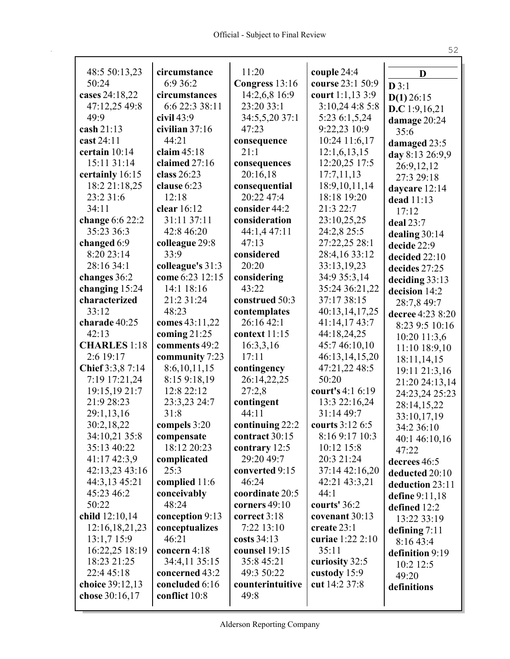| 48:5 50:13,23                  | circumstance              | 11:20                             | couple 24:4                       | D                |
|--------------------------------|---------------------------|-----------------------------------|-----------------------------------|------------------|
| 50:24                          | 6:9 36:2                  | Congress 13:16                    | course 23:1 50:9                  | D3:1             |
| cases 24:18,22                 | circumstances             | 14:2,6,8 16:9                     | court 1:1,13 3:9                  | $D(1)$ 26:15     |
| 47:12,25 49:8                  | 6:6 22:3 38:11            | 23:20 33:1                        | 3:10,24 4:8 5:8                   | D.C 1:9,16,21    |
| 49:9                           | $\dot{\text{civil}}$ 43:9 | 34:5,5,20 37:1                    | 5:23 6:1,5,24                     | damage 20:24     |
| $\cosh 21:13$                  | civilian 37:16            | 47:23                             | 9:22,23 10:9                      | 35:6             |
| cast 24:11                     | 44:21                     | consequence                       | 10:24 11:6,17                     | damaged 23:5     |
| certain 10:14                  | claim $45:18$             | 21:1                              | 12:1,6,13,15                      | day 8:13 26:9,9  |
| 15:11 31:14                    | claimed 27:16             | consequences                      | 12:20,25 17:5                     | 26:9,12,12       |
| certainly 16:15                | class $26:23$             | 20:16,18                          | 17:7,11,13                        | 27:3 29:18       |
| 18:2 21:18,25                  | clause 6:23               | consequential                     | 18:9, 10, 11, 14                  | daycare 12:14    |
| 23:2 31:6                      | 12:18                     | 20:22 47:4                        | 18:18 19:20                       | dead 11:13       |
| 34:11                          | clear 16:12               | consider 44:2                     | 21:3 22:7                         | 17:12            |
| change $6:622:2$               | 31:11 37:11               | consideration                     | 23:10,25,25                       | deal 23:7        |
| 35:23 36:3                     | 42:8 46:20                | 44:1,4 47:11                      | 24:2,8 25:5                       | dealing $30:14$  |
| changed 6:9                    | colleague 29:8            | 47:13                             | 27:22,25 28:1                     | decide 22:9      |
| 8:20 23:14                     | 33:9                      | considered                        | 28:4,16 33:12                     | decided 22:10    |
| 28:16 34:1                     | colleague's 31:3          | 20:20                             | 33:13,19,23                       | decides 27:25    |
| changes 36:2                   | come 6:23 12:15           | considering                       | 34:9 35:3,14                      | deciding 33:13   |
| changing 15:24                 | 14:1 18:16                | 43:22                             | 35:24 36:21,22                    | decision 14:2    |
| characterized                  | 21:2 31:24                | construed 50:3                    | 37:17 38:15                       | 28:7,8 49:7      |
| 33:12                          | 48:23                     | contemplates                      | 40:13,14,17,25                    | decree 4:23 8:20 |
| charade 40:25                  | comes 43:11,22            | 26:16 42:1                        | 41:14,17 43:7                     | 8:23 9:5 10:16   |
| 42:13                          | coming $21:25$            | context 11:15                     | 44:18,24,25                       | 10:20 11:3,6     |
| <b>CHARLES</b> 1:18            | comments 49:2             | 16:3,3,16                         | 45:7 46:10,10                     | 11:10 18:9,10    |
| 2:6 19:17                      | community 7:23            | 17:11                             | 46:13,14,15,20                    | 18:11,14,15      |
| Chief 3:3,8 7:14               | 8:6,10,11,15              | contingency                       | 47:21,22 48:5                     | 19:11 21:3,16    |
| 7:19 17:21,24                  | 8:15 9:18,19              | 26:14,22,25                       | 50:20                             | 21:20 24:13,14   |
| 19:15,19 21:7                  | 12:8 22:12                | 27:2,8                            | court's 4:1 6:19                  | 24:23,24 25:23   |
| 21:9 28:23                     | 23:3,23 24:7<br>31:8      | contingent<br>44:11               | 13:3 22:16,24<br>31:14 49:7       | 28:14,15,22      |
| 29:1,13,16                     |                           |                                   |                                   | 33:10,17,19      |
| 30:2,18,22<br>34:10,21 35:8    | compels 3:20              | continuing 22:2<br>contract 30:15 | courts 3:12 6:5<br>8:16 9:17 10:3 | 34:2 36:10       |
| 35:13 40:22                    | compensate<br>18:12 20:23 | contrary 12:5                     | 10:12 15:8                        | 40:1 46:10,16    |
|                                |                           | 29:20 49:7                        | 20:3 21:24                        | 47:22            |
| 41:17 42:3,9<br>42:13,23 43:16 | complicated<br>25:3       | converted 9:15                    | 37:14 42:16,20                    | decrees 46:5     |
| 44:3,13 45:21                  | complied 11:6             | 46:24                             | 42:21 43:3,21                     | deducted 20:10   |
| 45:23 46:2                     | conceivably               | coordinate 20:5                   | 44:1                              | deduction 23:11  |
| 50:22                          | 48:24                     | corners 49:10                     | courts' 36:2                      | define $9:11,18$ |
| child 12:10,14                 | conception 9:13           | correct 3:18                      | covenant 30:13                    | defined 12:2     |
| 12:16,18,21,23                 | conceptualizes            | 7:22 13:10                        | create 23:1                       | 13:22 33:19      |
| 13:1,7 15:9                    | 46:21                     | costs $34:13$                     | curiae 1:22 2:10                  | defining $7:11$  |
| 16:22,25 18:19                 | concern 4:18              | counsel 19:15                     | 35:11                             | 8:16 43:4        |
| 18:23 21:25                    | 34:4,11 35:15             | 35:8 45:21                        | curiosity 32:5                    | definition 9:19  |
| 22:4 45:18                     | concerned 43:2            | 49:3 50:22                        | custody 15:9                      | 10:2 12:5        |
| choice 39:12,13                | concluded 6:16            | counterintuitive                  | cut 14:2 37:8                     | 49:20            |
| chose 30:16,17                 | conflict 10:8             | 49:8                              |                                   | definitions      |
|                                |                           |                                   |                                   |                  |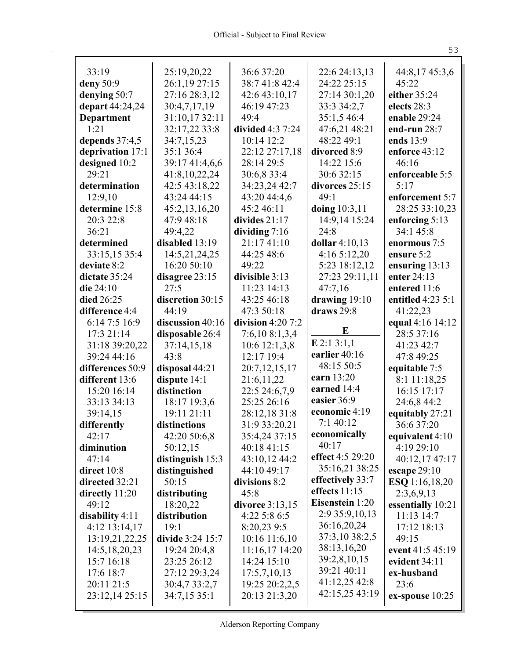| 33:19                     | 25:19,20,22                 | 36:6 37:20                 | 22:6 24:13,13          | 44:8,17 45:3,6              |
|---------------------------|-----------------------------|----------------------------|------------------------|-----------------------------|
| deny 50:9                 | 26:1,19 27:15               | 38:7 41:8 42:4             | 24:22 25:15            | 45:22                       |
| denying 50:7              | 27:16 28:3,12               | 42:6 43:10,17              | 27:14 30:1,20          | either 35:24                |
| depart 44:24,24           | 30:4,7,17,19                | 46:19 47:23                | 33:3 34:2,7            | elects 28:3                 |
| Department                | 31:10,17 32:11              | 49:4                       | 35:1,5 46:4            | enable 29:24                |
| 1:21                      | 32:17,22 33:8               | divided 4:3 7:24           | 47:6,21 48:21          | end-run 28:7                |
| depends 37:4,5            | 34:7,15,23                  | 10:14 12:2                 | 48:22 49:1             | ends 13:9                   |
| deprivation 17:1          | 35:1 36:4                   | 22:12 27:17,18             | divorced 8:9           | enforce 43:12<br>46:16      |
| designed 10:2<br>29:21    | 39:17 41:4,6,6              | 28:14 29:5                 | 14:22 15:6             |                             |
|                           | 41:8,10,22,24               | 30:6,8 33:4                | 30:6 32:15             | enforceable 5:5<br>5:17     |
| determination             | 42:5 43:18,22               | 34:23,24 42:7              | divorces 25:15<br>49:1 |                             |
| 12:9,10<br>determine 15:8 | 43:24 44:15                 | 43:20 44:4,6<br>45:2 46:11 |                        | enforcement 5:7             |
| 20:3 22:8                 | 45:2,13,16,20<br>47:9 48:18 | divides $21:17$            | doing $10:3,11$        | 28:25 33:10,23              |
| 36:21                     | 49:4,22                     | dividing $7:16$            | 14:9,14 15:24<br>24:8  | enforcing 5:13<br>34:1 45:8 |
| determined                | disabled 13:19              | 21:17 41:10                | dollar 4:10,13         | enormous 7:5                |
| 33:15,15 35:4             | 14:5,21,24,25               | 44:25 48:6                 | 4:16 5:12,20           | ensure 5:2                  |
| deviate 8:2               | 16:20 50:10                 | 49:22                      | 5:23 18:12,12          | ensuring 13:13              |
| dictate 35:24             | disagree 23:15              | divisible 3:13             | 27:23 29:11,11         | enter 24:13                 |
| die 24:10                 | 27:5                        | 11:23 14:13                | 47:7,16                | entered 11:6                |
| died 26:25                | discretion 30:15            | 43:25 46:18                | drawing $19:10$        | entitled 4:23 5:1           |
| difference 4:4            | 44:19                       | 47:3 50:18                 | draws 29:8             | 41:22,23                    |
| 6:14 7:5 16:9             | discussion 40:16            | division $4:207:2$         |                        | equal 4:16 14:12            |
| 17:3 21:14                | disposable 26:4             | 7:6,10 8:1,3,4             | E                      | 28:5 37:16                  |
| 31:18 39:20,22            | 37:14,15,18                 | 10:6 12:1,3,8              | $E$ 2:1 3:1,1          | 41:23 42:7                  |
| 39:24 44:16               | 43:8                        | 12:17 19:4                 | earlier 40:16          | 47:8 49:25                  |
| differences 50:9          | disposal 44:21              | 20:7,12,15,17              | 48:15 50:5             | equitable 7:5               |
| different 13:6            | dispute $14:1$              | 21:6,11,22                 | earn 13:20             | 8:1 11:18,25                |
| 15:20 16:14               | distinction                 | 22:5 24:6,7,9              | earned 14:4            | 16:15 17:17                 |
| 33:13 34:13               | 18:17 19:3,6                | 25:25 26:16                | easier 36:9            | 24:6,8 44:2                 |
| 39:14,15                  | 19:11 21:11                 | 28:12,18 31:8              | economic 4:19          | equitably 27:21             |
| differently               | distinctions                | 31:9 33:20,21              | 7:1 40:12              | 36:6 37:20                  |
| 42:17                     | 42:20 50:6,8                | 35:4,24 37:15              | economically           | equivalent 4:10             |
| diminution                | 50:12,15                    | 40:18 41:15                | 40:17                  | 4:19 29:10                  |
| 47:14                     | distinguish 15:3            | 43:10,12 44:2              | effect 4:5 29:20       | 40:12,17 47:17              |
| direct 10:8               | distinguished               | 44:10 49:17                | 35:16,21 38:25         | escape $29:10$              |
| directed 32:21            | 50:15                       | divisions 8:2              | effectively 33:7       | <b>ESQ</b> 1:16,18,20       |
| directly 11:20            | distributing                | 45:8                       | effects $11:15$        | 2:3,6,9,13                  |
| 49:12                     | 18:20,22                    | divorce 3:13,15            | Eisenstein 1:20        | essentially 10:21           |
| disability 4:11           | distribution                | 4:22 5:8 6:5               | 2:9 35:9,10,13         | 11:13 14:7                  |
| 4:12 13:14,17             | 19:1                        | 8:20,23 9:5                | 36:16,20,24            | 17:12 18:13                 |
| 13:19,21,22,25            | divide 3:24 15:7            | 10:16 11:6,10              | 37:3,10 38:2,5         | 49:15                       |
| 14:5, 18, 20, 23          | 19:24 20:4,8                | 11:16,17 14:20             | 38:13,16,20            | event 41:5 45:19            |
| 15:7 16:18                | 23:25 26:12                 | 14:24 15:10                | 39:2,8,10,15           | evident 34:11               |
| 17:6 18:7                 | 27:12 29:3,24               | 17:5,7,10,13               | 39:21 40:11            | ex-husband                  |
| 20:11 21:5                | 30:4,7 33:2,7               | 19:25 20:2,2,5             | 41:12,25 42:8          | 23:6                        |
| 23:12,14 25:15            | 34:7,15 35:1                | 20:13 21:3,20              | 42:15,25 43:19         | $ex$ -spouse $10:25$        |
|                           |                             |                            |                        |                             |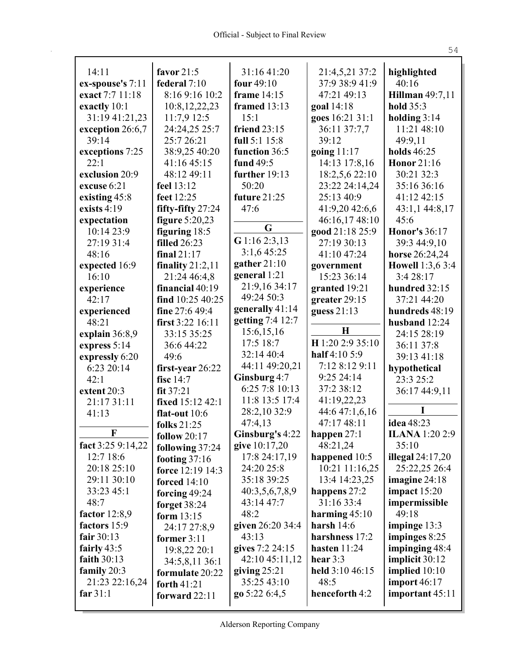| 14:11                     | favor $21:5$           | 31:16 41:20         | 21:4,5,21 37:2   | highlighted            |
|---------------------------|------------------------|---------------------|------------------|------------------------|
| ex-spouse's 7:11          | federal 7:10           | four $49:10$        | 37:9 38:9 41:9   | 40:16                  |
| exact 7:7 11:18           | 8:16 9:16 10:2         | frame 14:15         | 47:21 49:13      | <b>Hillman</b> 49:7,11 |
| exactly 10:1              | 10:8, 12, 22, 23       | <b>framed</b> 13:13 | goal 14:18       | <b>hold</b> 35:3       |
| 31:19 41:21,23            | 11:7,9 12:5            | 15:1                | goes 16:21 31:1  | holding $3:14$         |
| exception 26:6,7          | 24:24,25 25:7          | friend $23:15$      | 36:11 37:7,7     | 11:21 48:10            |
| 39:14                     | 25:7 26:21             | full 5:1 15:8       | 39:12            | 49:9,11                |
| exceptions 7:25           | 38:9,25 40:20          | function 36:5       | going $11:17$    | holds 46:25            |
| 22:1                      | 41:16 45:15            | fund 49:5           | 14:13 17:8,16    | <b>Honor</b> 21:16     |
| exclusion 20:9            | 48:12 49:11            | further 19:13       | 18:2,5,6 22:10   | 30:21 32:3             |
| excuse 6:21               | feel 13:12             | 50:20               | 23:22 24:14,24   | 35:16 36:16            |
| existing 45:8             | feet 12:25             | future 21:25        | 25:13 40:9       | 41:12 42:15            |
| exists $4:19$             | fifty-fifty $27:24$    | 47:6                | 41:9,20 42:6,6   | 43:1,1 44:8,17         |
| expectation               | figure 5:20,23         | G                   | 46:16,17 48:10   | 45:6                   |
| 10:14 23:9                | figuring $18:5$        |                     | good 21:18 25:9  | <b>Honor's 36:17</b>   |
| 27:19 31:4                | <b>filled</b> 26:23    | G 1:16 2:3,13       | 27:19 30:13      | 39:3 44:9,10           |
| 48:16                     | final $21:17$          | 3:1,645:25          | 41:10 47:24      | horse 26:24,24         |
| expected 16:9             | finality $21:2,11$     | gather $21:10$      | government       | Howell 1:3,6 3:4       |
| 16:10                     | 21:24 46:4,8           | general 1:21        | 15:23 36:14      | 3:4 28:17              |
| experience                | financial 40:19        | 21:9,16 34:17       | granted 19:21    | hundred 32:15          |
| 42:17                     | find 10:25 40:25       | 49:24 50:3          | greater 29:15    | 37:21 44:20            |
| experienced               | fine 27:6 49:4         | generally 41:14     | guess $21:13$    | hundreds 48:19         |
| 48:21                     | first 3:22 16:11       | getting 7:4 12:7    |                  | husband 12:24          |
| explain 36:8,9            | 33:15 35:25            | 15:6,15,16          | $\bf H$          | 24:15 28:19            |
| express 5:14              | 36:6 44:22             | 17:5 18:7           | H 1:20 2:9 35:10 | 36:11 37:8             |
| expressly 6:20            | 49:6                   | 32:14 40:4          | half 4:10 5:9    | 39:13 41:18            |
| 6:23 20:14                | first-year $26:22$     | 44:11 49:20,21      | 7:12 8:12 9:11   | hypothetical           |
| 42:1                      | fisc $14:7$            | Ginsburg 4:7        | 9:25 24:14       | 23:3 25:2              |
| extent 20:3               | fit 37:21              | 6:25 7:8 10:13      | 37:2 38:12       | 36:17 44:9,11          |
| 21:17 31:11               | fixed 15:12 42:1       | 11:8 13:5 17:4      | 41:19,22,23      |                        |
| 41:13                     | flat-out $10:6$        | 28:2,10 32:9        | 44:6 47:1,6,16   |                        |
|                           | folks 21:25            | 47:4,13             | 47:17 48:11      | idea 48:23             |
| $\boldsymbol{\mathrm{F}}$ | follow $20:17$         | Ginsburg's 4:22     | happen $27:1$    | <b>ILANA</b> 1:20 2:9  |
| fact $3:259:14,22$        | <b>following 37:24</b> | give 10:17,20       | 48:21,24         | 35:10                  |
| 12:7 18:6                 | footing $37:16$        | 17:8 24:17,19       | happened 10:5    | illegal $24:17,20$     |
| 20:18 25:10               | force 12:19 14:3       | 24:20 25:8          | 10:21 11:16,25   | 25:22,25 26:4          |
| 29:11 30:10               | forced $14:10$         | 35:18 39:25         | 13:4 14:23,25    | imagine 24:18          |
| 33:23 45:1                | forcing $49:24$        | 40:3,5,6,7,8,9      | happens $27:2$   | impact $15:20$         |
| 48:7                      | forget 38:24           | 43:14 47:7          | 31:16 33:4       | impermissible          |
| factor $12:8,9$           | form 13:15             | 48:2                | harming $45:10$  | 49:18                  |
| factors 15:9              | 24:17 27:8,9           | given 26:20 34:4    | harsh $14:6$     | impinge 13:3           |
| fair $30:13$              | former 3:11            | 43:13               | harshness 17:2   | impinges 8:25          |
| fairly $43:5$             | 19:8,22 20:1           | gives 7:2 24:15     | hasten $11:24$   | impinging 48:4         |
| faith 30:13               | 34:5,8,11 36:1         | 42:10 45:11,12      | hear $3:3$       | implicit 30:12         |
| family 20:3               | formulate 20:22        | giving $25:21$      | held 3:10 46:15  | implied $10:10$        |
| 21:23 22:16,24            | forth 41:21            | 35:25 43:10         | 48:5             | <b>import 46:17</b>    |
| far $31:1$                | forward $22:11$        | go 5:22 6:4,5       | henceforth 4:2   | important 45:11        |
|                           |                        |                     |                  |                        |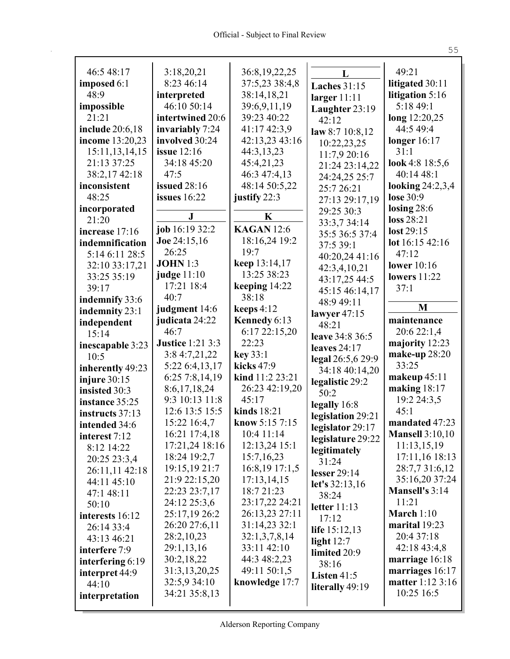| 46:548:17               | 3:18,20,21<br>8:23 46:14        | 36:8,19,22,25                 | L                   | 49:21                            |
|-------------------------|---------------------------------|-------------------------------|---------------------|----------------------------------|
| imposed 6:1             |                                 | 37:5,23 38:4,8                | <b>Laches</b> 31:15 | litigated 30:11                  |
| 48:9                    | interpreted                     | 38:14,18,21                   | larger $11:11$      | litigation 5:16                  |
| impossible              | 46:10 50:14                     | 39:6,9,11,19                  | Laughter 23:19      | 5:18 49:1                        |
| 21:21                   | intertwined 20:6                | 39:23 40:22                   | 42:12               | long 12:20,25                    |
| <b>include</b> 20:6,18  | invariably 7:24                 | 41:17 42:3,9                  | law $8:710:8,12$    | 44:5 49:4                        |
| income 13:20,23         | involved 30:24                  | 42:13,23 43:16                | 10:22,23,25         | longer $16:17$                   |
| 15:11,13,14,15          | issue $12:16$                   | 44:3,13,23                    | 11:7,9 20:16        | 31:1                             |
| 21:13 37:25             | 34:18 45:20                     | 45:4,21,23                    | 21:24 23:14,22      | look 4:8 $18:5,6$                |
| 38:2,1742:18            | 47:5                            | 46:3 47:4,13                  | 24:24,25 25:7       | 40:14 48:1                       |
| inconsistent            | issued 28:16                    | 48:14 50:5,22                 | 25:7 26:21          | looking $24:2,3,4$               |
| 48:25                   | issues $16:22$                  | justify 22:3                  | 27:13 29:17,19      | lose 30:9                        |
| incorporated            | $\bf J$                         | $\mathbf K$                   | 29:25 30:3          | losing $28:6$                    |
| 21:20                   | job 16:19 32:2                  | <b>KAGAN</b> 12:6             | 33:3,7 34:14        | loss 28:21                       |
| increase 17:16          |                                 |                               | 35:5 36:5 37:4      | lost 29:15                       |
| indemnification         | Joe 24:15,16<br>26:25           | 18:16,24 19:2<br>19:7         | 37:5 39:1           | lot 16:15 42:16                  |
| 5:14 6:11 28:5          | <b>JOHN</b> 1:3                 |                               | 40:20,24 41:16      | 47:12                            |
| 32:10 33:17,21          | judge $11:10$                   | keep 13:14,17<br>13:25 38:23  | 42:3,4,10,21        | <b>lower</b> 10:16               |
| 33:25 35:19             | 17:21 18:4                      |                               | 43:17,25 44:5       | lowers $11:22$                   |
| 39:17                   | 40:7                            | keeping $14:22$<br>38:18      | 45:15 46:14,17      | 37:1                             |
| indemnify 33:6          |                                 | keeps $4:12$                  | 48:9 49:11          | M                                |
| indemnity 23:1          | judgment 14:6                   |                               | lawyer $47:15$      | maintenance                      |
| independent             | judicata 24:22<br>46:7          | Kennedy 6:13<br>6:17 22:15,20 | 48:21               | 20:6 22:1,4                      |
| 15:14                   | <b>Justice</b> 1:21 3:3         | 22:23                         | leave 34:8 36:5     |                                  |
| inescapable 3:23        |                                 | key 33:1                      | leaves $24:17$      | majority 12:23<br>make-up 28:20  |
| 10:5                    | 3:8 4:7,21,22<br>5:22 6:4,13,17 | kicks 47:9                    | legal 26:5,6 29:9   | 33:25                            |
| inherently 49:23        | 6:25 7:8,14,19                  | kind 11:2 23:21               | 34:18 40:14,20      |                                  |
| injure $30:15$          | 8:6,17,18,24                    | 26:23 42:19,20                | legalistic 29:2     | makeup $45:11$<br>making $18:17$ |
| insisted 30:3           | 9:3 10:13 11:8                  | 45:17                         | 50:2                | 19:2 24:3,5                      |
| instance 35:25          | 12:6 13:5 15:5                  | kinds 18:21                   | legally 16:8        | 45:1                             |
| instructs 37:13         | 15:22 16:4,7                    | know $5:157:15$               | legislation 29:21   | mandated 47:23                   |
| intended 34:6           | 16:21 17:4,18                   | 10:4 11:14                    | legislator 29:17    | <b>Mansell 3:10,10</b>           |
| interest 7:12           | 17:21,24 18:16                  | 12:13,24 15:1                 | legislature 29:22   | 11:13,15,19                      |
| 8:12 14:22              | 18:24 19:2,7                    | 15:7,16,23                    | legitimately        | 17:11,16 18:13                   |
| 20:25 23:3,4            | 19:15,19 21:7                   | 16:8, 19 17:1, 5              | 31:24               | 28:7,7 31:6,12                   |
| 26:11,11 42:18          | 21:9 22:15,20                   | 17:13,14,15                   | lesser $29:14$      | 35:16,20 37:24                   |
| 44:11 45:10             | 22:23 23:7,17                   | 18:7 21:23                    | let's $32:13,16$    | Mansell's 3:14                   |
| 47:1 48:11              | 24:12 25:3,6                    | 23:17,22 24:21                | 38:24               | 11:21                            |
| 50:10                   | 25:17,19 26:2                   | 26:13,23 27:11                | letter $11:13$      | March $1:10$                     |
| interests 16:12         | 26:20 27:6,11                   | 31:14,23 32:1                 | 17:12               | marital 19:23                    |
| 26:14 33:4              | 28:2,10,23                      | 32:1,3,7,8,14                 | life 15:12,13       | 20:4 37:18                       |
| 43:13 46:21             | 29:1,13,16                      | 33:11 42:10                   | light $12:7$        | 42:18 43:4,8                     |
| interfere 7:9           | 30:2,18,22                      | 44:3 48:2,23                  | limited 20:9        | marriage 16:18                   |
| interfering 6:19        | 31:3,13,20,25                   | 49:11 50:1,5                  | 38:16               | marriages 16:17                  |
| interpret 44:9<br>44:10 | 32:5,9 34:10                    | knowledge 17:7                | Listen 41:5         | matter 1:12 3:16                 |
|                         | 34:21 35:8,13                   |                               | literally 49:19     | 10:25 16:5                       |
| interpretation          |                                 |                               |                     |                                  |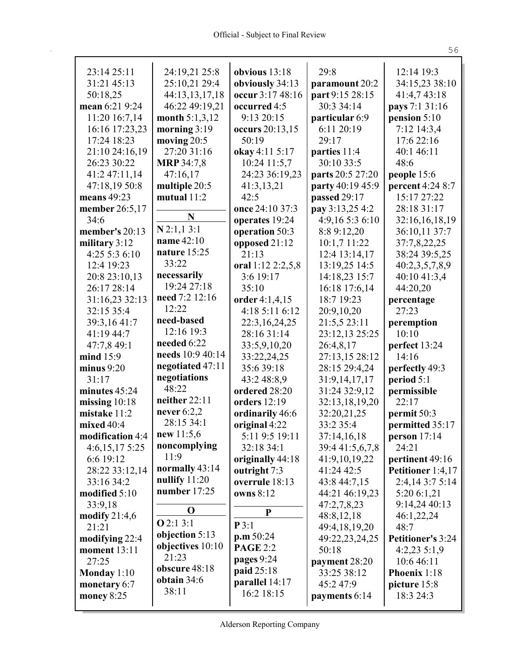| 23:14 25:11      | 24:19,21 25:8                   | obvious $13:18$     | 29:8             | 12:14 19:3               |
|------------------|---------------------------------|---------------------|------------------|--------------------------|
| 31:21 45:13      | 25:10,21 29:4                   | obviously 34:13     | paramount 20:2   | 34:15,23 38:10           |
| 50:18,25         | 44:13,13,17,18                  | occur 3:17 48:16    | part 9:15 28:15  | 41:4,7 43:18             |
| mean 6:21 9:24   | 46:22 49:19,21                  | occurred 4:5        | 30:3 34:14       | pays 7:1 31:16           |
| 11:20 16:7,14    | month 5:1,3,12                  | 9:13 20:15          | particular 6:9   | pension $5:10$           |
| 16:16 17:23,23   | morning $3:19$                  | occurs 20:13,15     | 6:11 20:19       | 7:12 14:3,4              |
| 17:24 18:23      | moving $20:5$                   | 50:19               | 29:17            | 17:6 22:16               |
| 21:10 24:16,19   | 27:20 31:16                     | okay 4:11 5:17      | parties 11:4     | 40:1 46:11               |
| 26:23 30:22      | <b>MRP</b> 34:7,8               | 10:24 11:5,7        | 30:10 33:5       | 48:6                     |
| 41:2 47:11,14    | 47:16,17                        | 24:23 36:19,23      | parts 20:5 27:20 | people 15:6              |
| 47:18,19 50:8    | multiple 20:5                   | 41:3,13,21          | party 40:19 45:9 | percent 4:24 8:7         |
| means $49:23$    | mutual $11:2$                   | 42:5                | passed 29:17     | 15:17 27:22              |
| member 26:5,17   | N                               | once 24:10 37:3     | pay 3:13,25 4:2  | 28:18 31:17              |
| 34:6             |                                 | operates 19:24      | 4:9,16 5:3 6:10  | 32:16,16,18,19           |
| member's 20:13   | $N$ 2:1,1 3:1                   | operation 50:3      | 8:8 9:12,20      | 36:10,11 37:7            |
| military 3:12    | name 42:10<br>nature $15:25$    | opposed 21:12       | 10:1,7 11:22     | 37:7,8,22,25             |
| 4:25 5:3 6:10    | 33:22                           | 21:13               | 12:4 13:14,17    | 38:24 39:5,25            |
| 12:4 19:23       |                                 | oral 1:12 2:2,5,8   | 13:19,25 14:5    | 40:2,3,5,7,8,9           |
| 20:8 23:10,13    | necessarily                     | 3:6 19:17           | 14:18,23 15:7    | 40:10 41:3,4             |
| 26:17 28:14      | 19:24 27:18                     | 35:10               | 16:18 17:6,14    | 44:20,20                 |
| 31:16,23 32:13   | need 7:2 12:16                  | order 4:1,4,15      | 18:7 19:23       | percentage               |
| 32:15 35:4       | 12:22                           | 4:18 5:11 6:12      | 20:9,10,20       | 27:23                    |
| 39:3,16 41:7     | need-based                      | 22:3,16,24,25       | 21:5,5 23:11     | peremption               |
| 41:19 44:7       | 12:16 19:3                      | 28:16 31:14         | 23:12,13 25:25   | 10:10                    |
| 47:7,8 49:1      | needed 6:22                     | 33:5,9,10,20        | 26:4,8,17        | perfect 13:24            |
| mind 15:9        | needs 10:9 40:14                | 33:22,24,25         | 27:13,15 28:12   | 14:16                    |
| minus $9:20$     | negotiated 47:11                | 35:6 39:18          | 28:15 29:4,24    | perfectly 49:3           |
| 31:17            | negotiations<br>48:22           | 43:2 48:8,9         | 31:9,14,17,17    | period 5:1               |
| minutes 45:24    | neither 22:11                   | ordered 28:20       | 31:24 32:9,12    | permissible              |
| missing $10:18$  | never $6:2,2$                   | <b>orders</b> 12:19 | 32:13,18,19,20   | 22:17                    |
| mistake 11:2     | 28:15 34:1                      | ordinarily 46:6     | 32:20,21,25      | permit 50:3              |
| mixed 40:4       | new 11:5,6                      | original 4:22       | 33:2 35:4        | permitted 35:17          |
| modification 4:4 |                                 | 5:11 9:5 19:11      | 37:14,16,18      | person 17:14             |
| 4:6,15,175:25    | noncomplying<br>11:9            | 32:18 34:1          | 39:4 41:5,6,7,8  | 24:21                    |
| 6:6 19:12        |                                 | originally 44:18    | 41:9,10,19,22    | pertinent 49:16          |
| 28:22 33:12,14   | normally 43:14                  | outright 7:3        | 41:24 42:5       | Petitioner 1:4,17        |
| 33:16 34:2       | nullify $11:20$<br>number 17:25 | overrule 18:13      | 43:8 44:7,15     | 2:4,14 3:7 5:14          |
| modified 5:10    |                                 | owns 8:12           | 44:21 46:19,23   | 5:20 6:1,21              |
| 33:9,18          | $\mathbf 0$                     | P                   | 47:2,7,8,23      | 9:14,24 40:13            |
| modify $21:4,6$  | Q2:13:1                         | P3:1                | 48:8,12,18       | 46:1,22,24               |
| 21:21            | objection 5:13                  | p.m.50:24           | 49:4,18,19,20    | 48:7                     |
| modifying 22:4   | objectives 10:10                | <b>PAGE 2:2</b>     | 49:22,23,24,25   | <b>Petitioner's 3:24</b> |
| moment 13:11     | 21:23                           | pages 9:24          | 50:18            | $4:2,23$ 5:1,9           |
| 27:25            | obscure 48:18                   | paid 25:18          | payment 28:20    | 10:6 46:11               |
| Monday 1:10      | obtain 34:6                     | parallel 14:17      | 33:25 38:12      | Phoenix 1:18             |
| monetary 6:7     | 38:11                           | 16:2 18:15          | 45:2 47:9        | picture 15:8             |
| money $8:25$     |                                 |                     | payments 6:14    | 18:3 24:3                |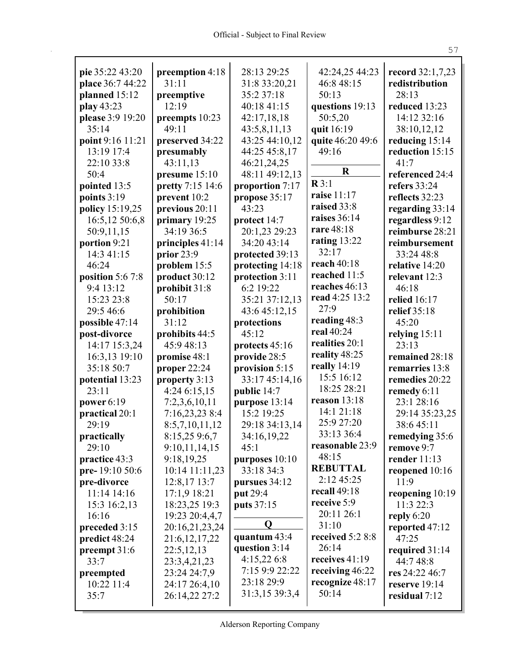r

|                  |                  | 28:13 29:25      |                         |                     |
|------------------|------------------|------------------|-------------------------|---------------------|
| pie 35:22 43:20  | preemption 4:18  |                  | 42:24,25 44:23          | record 32:1,7,23    |
| place 36:7 44:22 | 31:11            | 31:8 33:20,21    | 46:8 48:15              | redistribution      |
| planned 15:12    | preemptive       | 35:2 37:18       | 50:13                   | 28:13               |
| play 43:23       | 12:19            | 40:18 41:15      | questions 19:13         | reduced 13:23       |
| please 3:9 19:20 | preempts 10:23   | 42:17,18,18      | 50:5,20                 | 14:12 32:16         |
| 35:14            | 49:11            | 43:5,8,11,13     | quit 16:19              | 38:10,12,12         |
| point 9:16 11:21 | preserved 34:22  | 43:25 44:10,12   | quite 46:20 49:6        | reducing 15:14      |
| 13:19 17:4       | presumably       | 44:25 45:8,17    | 49:16                   | reduction 15:15     |
| 22:10 33:8       | 43:11,13         | 46:21,24,25      | $\mathbf R$             | 41:7                |
| 50:4             | presume 15:10    | 48:11 49:12,13   | R3:1                    | referenced 24:4     |
| pointed 13:5     | pretty 7:15 14:6 | proportion 7:17  | raise 11:17             | refers $33:24$      |
| points 3:19      | prevent 10:2     | propose 35:17    | raised 33:8             | reflects 32:23      |
| policy 15:19,25  | previous 20:11   | 43:23            | raises 36:14            | regarding 33:14     |
| 16:5,12 50:6,8   | primary 19:25    | protect 14:7     | rare 48:18              | regardless 9:12     |
| 50:9,11,15       | 34:19 36:5       | 20:1,23 29:23    |                         | reimburse 28:21     |
| portion 9:21     | principles 41:14 | 34:20 43:14      | rating $13:22$<br>32:17 | reimbursement       |
| 14:3 41:15       | prior 23:9       | protected 39:13  |                         | 33:24 48:8          |
| 46:24            | problem 15:5     | protecting 14:18 | reach $40:18$           | relative 14:20      |
| position 5:6 7:8 | product 30:12    | protection 3:11  | reached 11:5            | relevant 12:3       |
| 9:4 13:12        | prohibit 31:8    | 6:2 19:22        | reaches 46:13           | 46:18               |
| 15:23 23:8       | 50:17            | 35:21 37:12,13   | read 4:25 13:2          | <b>relied</b> 16:17 |
| 29:5 46:6        | prohibition      | 43:6 45:12,15    | 27:9                    | relief 35:18        |
| possible 47:14   | 31:12            | protections      | reading 48:3            | 45:20               |
| post-divorce     | prohibits 44:5   | 45:12            | real 40:24              | relying $15:11$     |
| 14:17 15:3,24    | 45:9 48:13       | protects 45:16   | realities 20:1          | 23:13               |
| 16:3,13 19:10    | promise 48:1     | provide 28:5     | reality 48:25           | remained 28:18      |
| 35:18 50:7       | proper 22:24     | provision 5:15   | really 14:19            | remarries 13:8      |
| potential 13:23  | property 3:13    | 33:17 45:14,16   | 15:5 16:12              | remedies 20:22      |
| 23:11            | 4:24 6:15,15     | public 14:7      | 18:25 28:21             | remedy 6:11         |
| power 6:19       | 7:2,3,6,10,11    | purpose 13:14    | reason 13:18            | 23:1 28:16          |
| practical 20:1   | 7:16,23,23 8:4   | 15:2 19:25       | 14:1 21:18              | 29:14 35:23,25      |
| 29:19            | 8:5,7,10,11,12   | 29:18 34:13,14   | 25:9 27:20              | 38:645:11           |
| practically      | 8:15,259:6,7     | 34:16,19,22      | 33:13 36:4              | remedying 35:6      |
| 29:10            | 9:10,11,14,15    | 45:1             | reasonable 23:9         | remove 9:7          |
| practice 43:3    | 9:18,19,25       | purposes $10:10$ | 48:15                   | render $11:13$      |
| pre-19:10 50:6   | 10:14 11:11,23   | 33:18 34:3       | <b>REBUTTAL</b>         | reopened 10:16      |
| pre-divorce      | $12:8,17$ 13:7   | pursues 34:12    | 2:12 45:25              | 11:9                |
| 11:14 14:16      | 17:1,9 18:21     | put 29:4         | recall $49:18$          | reopening $10:19$   |
| 15:3 16:2,13     | 18:23,25 19:3    | puts 37:15       | receive 5:9             | 11:3 22:3           |
| 16:16            | 19:23 20:4,4,7   |                  | 20:11 26:1              | reply $6:20$        |
| preceded 3:15    | 20:16,21,23,24   | $\mathbf 0$      | 31:10                   | reported 47:12      |
| predict 48:24    | 21:6, 12, 17, 22 | quantum $43:4$   | received 5:2 8:8        | 47:25               |
| preempt 31:6     | 22:5,12,13       | question 3:14    | 26:14                   | required 31:14      |
| 33:7             | 23:3,4,21,23     | 4:15,226:8       | receives 41:19          | 44:7 48:8           |
| preempted        | 23:24 24:7,9     | 7:15 9:9 22:22   | receiving 46:22         | res 24:22 46:7      |
| 10:22 11:4       | 24:17 26:4,10    | 23:18 29:9       | recognize 48:17         | reserve 19:14       |
| 35:7             | 26:14,22 27:2    | 31:3,15 39:3,4   | 50:14                   | residual 7:12       |
|                  |                  |                  |                         |                     |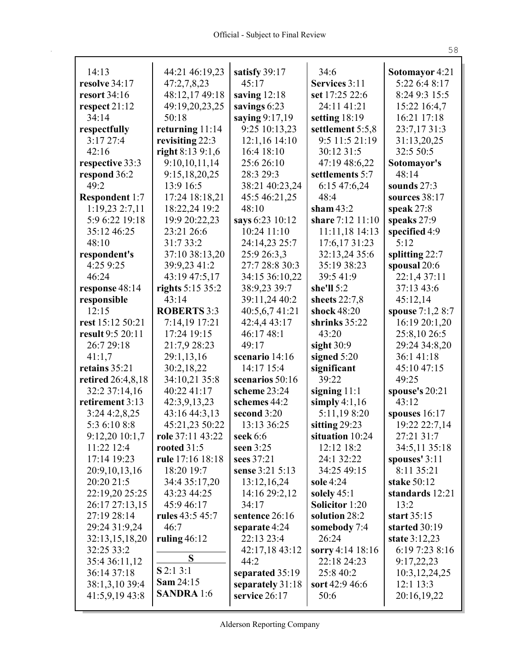| 14:13                    | 44:21 46:19,23          | satisfy 39:17          | 34:6                  | Sotomayor 4:21   |
|--------------------------|-------------------------|------------------------|-----------------------|------------------|
| resolve 34:17            | 47:2,7,8,23             | 45:17                  | Services 3:11         | 5:22 6:4 8:17    |
| resort $34:16$           | 48:12,17 49:18          | saving $12:18$         | set 17:25 22:6        | 8:24 9:3 15:5    |
|                          |                         | savings 6:23           | 24:11 41:21           |                  |
| respect $21:12$<br>34:14 | 49:19,20,23,25<br>50:18 |                        |                       | 15:22 16:4,7     |
|                          |                         | saying 9:17,19         | setting 18:19         | 16:21 17:18      |
| respectfully             | returning $11:14$       | 9:25 10:13,23          | settlement 5:5,8      | 23:7,17 31:3     |
| 3:1727:4                 | revisiting 22:3         | 12:1,16 14:10          | 9:5 11:5 21:19        | 31:13,20,25      |
| 42:16                    | right $8:139:1,6$       | 16:4 18:10             | 30:12 31:5            | 32:5 50:5        |
| respective 33:3          | 9:10,10,11,14           | 25:6 26:10             | 47:19 48:6,22         | Sotomayor's      |
| respond 36:2             | 9:15,18,20,25           | 28:3 29:3              | settlements 5:7       | 48:14            |
| 49:2                     | 13:9 16:5               | 38:21 40:23,24         | 6:15 47:6,24          | sounds $27:3$    |
| <b>Respondent 1:7</b>    | 17:24 18:18,21          | 45:5 46:21,25          | 48:4                  | sources 38:17    |
| 1:19,232:7,11            | 18:22,24 19:2           | 48:10                  | sham $43:2$           | speak $27:8$     |
| 5:9 6:22 19:18           | 19:9 20:22,23           | says 6:23 10:12        | share 7:12 11:10      | speaks 27:9      |
| 35:12 46:25              | 23:21 26:6              | 10:24 11:10            | 11:11,18 14:13        | specified 4:9    |
| 48:10                    | 31:7 33:2               | 24:14,23 25:7          | 17:6,17 31:23         | 5:12             |
| respondent's             | 37:10 38:13,20          | 25:9 26:3,3            | 32:13,24 35:6         | splitting 22:7   |
| 4:25 9:25                | 39:9,23 41:2            | 27:7 28:8 30:3         | 35:19 38:23           | spousal 20:6     |
| 46:24                    | 43:19 47:5,17           | 34:15 36:10,22         | 39:5 41:9             | 22:1,4 37:11     |
| response 48:14           | rights 5:15 35:2        | 38:9,23 39:7           | she'll $5:2$          | 37:13 43:6       |
| responsible              | 43:14                   | 39:11,24 40:2          | sheets $22:7,8$       | 45:12,14         |
| 12:15                    | <b>ROBERTS 3:3</b>      | 40:5,6,7 41:21         | shock 48:20           | spouse 7:1,2 8:7 |
| rest 15:12 50:21         | 7:14,19 17:21           | 42:4,4 43:17           | shrinks $35:22$       | 16:19 20:1,20    |
| result 9:5 20:11         | 17:24 19:15             | 46:1748:1              | 43:20                 | 25:8,10 26:5     |
| 26:7 29:18               | 21:7,9 28:23            | 49:17                  | sight $30:9$          | 29:24 34:8,20    |
| 41:1,7                   | 29:1,13,16              | scenario 14:16         | signed 5:20           | 36:141:18        |
| retains 35:21            | 30:2,18,22              | 14:17 15:4             | significant           | 45:10 47:15      |
| retired 26:4,8,18        | 34:10,21 35:8           | scenarios 50:16        | 39:22                 | 49:25            |
| 32:2 37:14,16            | 40:22 41:17             | scheme 23:24           | signing $11:1$        | spouse's 20:21   |
| retirement 3:13          | 42:3,9,13,23            | schemes 44:2           | simply $4:1,16$       | 43:12            |
| 3:244:2,8,25             | 43:16 44:3,13           | second 3:20            | 5:11,198:20           | spouses 16:17    |
| 5:3 6:10 8:8             | 45:21,23 50:22          | 13:13 36:25            | sitting 29:23         | 19:22 22:7,14    |
| 9:12,2010:1,7            | role 37:11 43:22        | seek 6:6               | situation 10:24       | 27:21 31:7       |
| 11:22 12:4               | rooted $31:5$           | seen $3:25$            | 12:12 18:2            | 34:5,11 35:18    |
| 17:14 19:23              | rule 17:16 18:18        | sees 37:21             | 24:1 32:22            | spouses' 3:11    |
| 20:9, 10, 13, 16         | 18:20 19:7              | sense 3:21 5:13        | 34:25 49:15           | 8:11 35:21       |
| 20:20 21:5               | 34:4 35:17,20           | 13:12,16,24            | sole 4:24             | stake 50:12      |
| 22:19,20 25:25           | 43:23 44:25             | 14:16 29:2,12          | solely $45:1$         | standards 12:21  |
| 26:17 27:13,15           | 45:9 46:17              | 34:17                  | <b>Solicitor</b> 1:20 | 13:2             |
| 27:19 28:14              | rules 43:5 45:7         | sentence 26:16         | solution 28:2         | start $35:15$    |
| 29:24 31:9,24            | 46:7                    | separate 4:24          | somebody 7:4          | started 30:19    |
| 32:13,15,18,20           | ruling $46:12$          | 22:13 23:4             | 26:24                 | state $3:12,23$  |
| 32:25 33:2               |                         |                        | sorry 4:14 18:16      | 6:19 7:23 8:16   |
| 35:4 36:11,12            | S                       | 42:17,18 43:12<br>44:2 | 22:18 24:23           | 9:17,22,23       |
|                          | $S$ 2:1 3:1             |                        |                       |                  |
| 36:14 37:18              | <b>Sam 24:15</b>        | separated 35:19        | 25:8 40:2             | 10:3, 12, 24, 25 |
| 38:1,3,10 39:4           | <b>SANDRA</b> 1:6       | separately 31:18       | sort 42:9 46:6        | 12:1 13:3        |
| 41:5,9,19 43:8           |                         | service 26:17          | 50:6                  | 20:16,19,22      |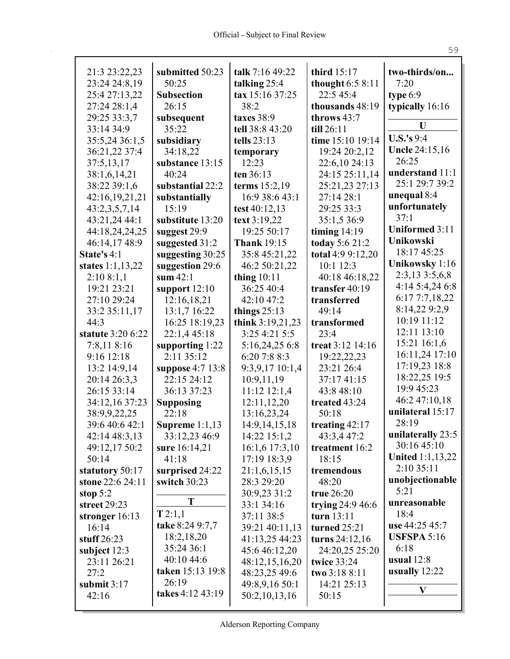| 21:3 23:22,23<br>23:24 24:8,19 | submitted 50:23<br>50:25  | talk 7:16 49:22                 | third 15:17<br>thought $6:58:11$ | two-thirds/on<br>7:20      |
|--------------------------------|---------------------------|---------------------------------|----------------------------------|----------------------------|
| 25:4 27:13,22                  | <b>Subsection</b>         | talking 25:4<br>tax 15:16 37:25 | 22:5 45:4                        | type $6:9$                 |
| 27:24 28:1,4                   | 26:15                     | 38:2                            | thousands 48:19                  | typically 16:16            |
| 29:25 33:3,7                   | subsequent                | taxes 38:9                      | throws 43:7                      |                            |
| 33:14 34:9                     | 35:22                     | tell 38:8 43:20                 | till 26:11                       | U                          |
| 35:5,24 36:1,5                 | subsidiary                | tells $23:13$                   | time 15:10 19:14                 | <b>U.S.'s</b> 9:4          |
| 36:21,22 37:4                  | 34:18,22                  | temporary                       | 19:24 20:2,12                    | <b>Uncle 24:15,16</b>      |
| 37:5,13,17                     | substance 13:15           | 12:23                           | 22:6,10 24:13                    | 26:25                      |
| 38:1,6,14,21                   | 40:24                     | ten 36:13                       | 24:15 25:11,14                   | understand 11:1            |
| 38:22 39:1,6                   | substantial 22:2          | terms 15:2,19                   | 25:21,23 27:13                   | 25:1 29:7 39:2             |
| 42:16,19,21,21                 | substantially             | 16:9 38:6 43:1                  | 27:14 28:1                       | unequal 8:4                |
| 43:2,3,5,7,14                  | 15:19                     | test 40:12,13                   | 29:25 33:3                       | unfortunately              |
| 43:21,24 44:1                  | substitute 13:20          | text 3:19,22                    | 35:1,5 36:9                      | 37:1                       |
| 44:18,24,24,25                 | suggest 29:9              | 19:25 50:17                     | timing $14:19$                   | <b>Uniformed 3:11</b>      |
| 46:14,17 48:9                  | suggested 31:2            | <b>Thank 19:15</b>              | today 5:6 21:2                   | Unikowski                  |
| State's 4:1                    | suggesting 30:25          | 35:8 45:21,22                   | total 4:9 9:12,20                | 18:17 45:25                |
| states $1:1,13,22$             | suggestion 29:6           | 46:2 50:21,22                   | 10:1 12:3                        | Unikowsky 1:16             |
| 2:108:1,1                      | sum $42:1$                | thing $10:11$                   | 40:18 46:18,22                   | 2:3,13 3:5,6,8             |
| 19:21 23:21                    | support $12:10$           | 36:25 40:4                      | transfer $40:19$                 | 4:14 5:4,24 6:8            |
| 27:10 29:24                    | 12:16,18,21               | 42:10 47:2                      | transferred                      | 6:177:7,18,22              |
| 33:2 35:11,17                  | 13:1,7 16:22              | things $25:13$                  | 49:14                            | 8:14,22 9:2,9              |
| 44:3                           | 16:25 18:19,23            | think 3:19,21,23                | transformed                      | 10:19 11:12                |
| statute 3:20 6:22              | 22:1,4 45:18              | 3:25 4:21 5:5                   | 23:4                             | 12:11 13:10                |
| 7:8,11 8:16                    | supporting $1:22$         | 5:16,24,25 6:8                  | treat 3:12 14:16                 | 15:21 16:1,6               |
| 9:16 12:18                     | 2:11 35:12                | 6:20 7:8 8:3                    | 19:22,22,23                      | 16:11,24 17:10             |
| 13:2 14:9,14                   | suppose 4:7 13:8          | 9:3,9,17 10:1,4                 | 23:21 26:4                       | 17:19,23 18:8              |
| 20:14 26:3,3                   | 22:15 24:12               | 10:9,11,19                      | 37:17 41:15                      | 18:22,25 19:5              |
| 26:15 33:14                    | 36:13 37:23               | $11:12$ $12:1,4$                | 43:8 48:10                       | 19:9 45:23                 |
| 34:12,16 37:23                 | <b>Supposing</b>          | 12:11,12,20                     | treated 43:24                    | 46:2 47:10,18              |
| 38:9,9,22,25                   | 22:18                     | 13:16,23,24                     | 50:18                            | unilateral 15:17           |
| 39:6 40:6 42:1                 | Supreme $1:1,13$          | 14:9, 14, 15, 18                | treating 42:17                   | 28:19                      |
| 42:14 48:3,13                  | 33:12,23 46:9             | 14:22 15:1,2                    | 43:3,4 47:2                      | unilaterally 23:5          |
| 49:12,17 50:2                  | sure 16:14,21             | 16:1,6 17:3,10                  | treatment 16:2                   | 30:16 45:10                |
| 50:14                          | 41:18                     | 17:19 18:3,9                    | 18:15                            | <b>United 1:1,13,22</b>    |
| statutory 50:17                | surprised 24:22           | 21:1,6,15,15                    | tremendous                       | 2:10 35:11                 |
| stone 22:6 24:11               | switch 30:23              | 28:3 29:20                      | 48:20                            | unobjectionable            |
| stop $5:2$                     | T                         | 30:9,23 31:2                    | true $26:20$                     | 5:21                       |
| street 29:23                   |                           | 33:1 34:16                      | trying $24:946:6$                | unreasonable               |
| stronger $16:13$               | T2:1,1                    | 37:11 38:5                      | turn 13:11                       | 18:4                       |
| 16:14                          | take 8:24 9:7,7           | 39:21 40:11,13                  | turned $25:21$                   | use 44:25 45:7             |
| stuff $26:23$                  | 18:2,18,20                | 41:13,25 44:23                  | turns $24:12,16$                 | <b>USFSPA 5:16</b><br>6:18 |
| subject $12:3$                 | 35:24 36:1<br>40:10 44:6  | 45:6 46:12,20                   | 24:20,25 25:20                   |                            |
| 23:11 26:21                    | taken 15:13 19:8          | 48:12,15,16,20                  | <b>twice 33:24</b>               | usual $12:8$               |
| 27:2                           |                           | 48:23,25 49:6                   | two 3:18 8:11                    | usually $12:22$            |
| submit $3:17$                  | 26:19<br>takes 4:12 43:19 | 49:8,9,16 50:1                  | 14:21 25:13                      | V                          |
| 42:16                          |                           | 50:2,10,13,16                   | 50:15                            |                            |

Alderson Reporting Company